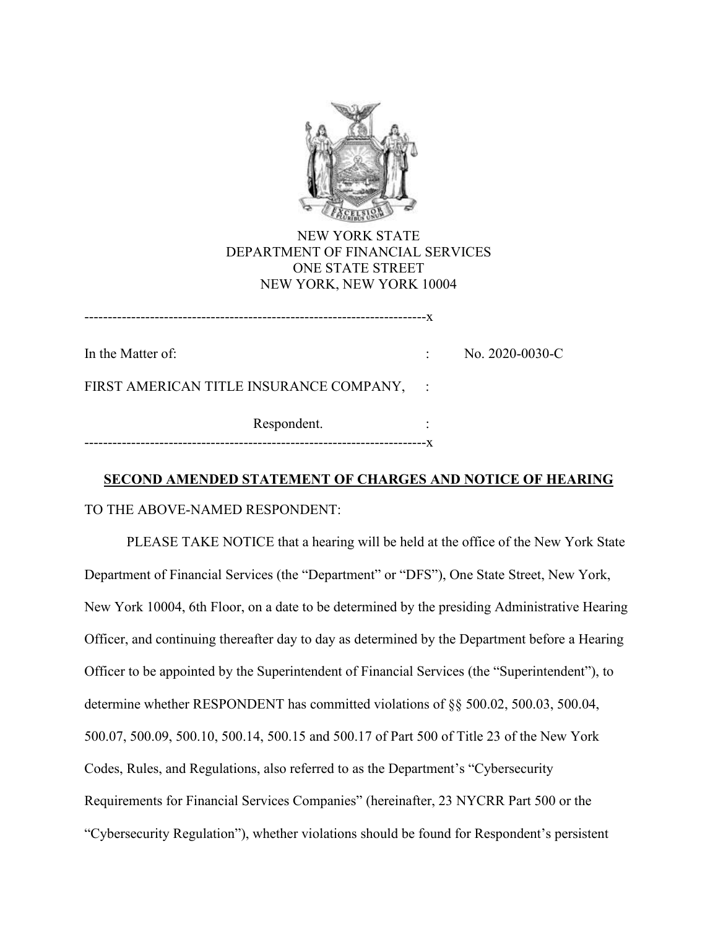

# NEW YORK STATE DEPARTMENT OF FINANCIAL SERVICES ONE STATE STREET NEW YORK, NEW YORK 10004

-------------------------------------------------------------------------x

In the Matter of:  $\qquad \qquad$  No. 2020-0030-C

FIRST AMERICAN TITLE INSURANCE COMPANY, :

Respondent. -------------------------------------------------------------------------x

## **SECOND AMENDED STATEMENT OF CHARGES AND NOTICE OF HEARING**

TO THE ABOVE-NAMED RESPONDENT:

PLEASE TAKE NOTICE that a hearing will be held at the office of the New York State Department of Financial Services (the "Department" or "DFS"), One State Street, New York, New York 10004, 6th Floor, on a date to be determined by the presiding Administrative Hearing Officer, and continuing thereafter day to day as determined by the Department before a Hearing Officer to be appointed by the Superintendent of Financial Services (the "Superintendent"), to determine whether RESPONDENT has committed violations of §§ 500.02, 500.03, 500.04, 500.07, 500.09, 500.10, 500.14, 500.15 and 500.17 of Part 500 of Title 23 of the New York Codes, Rules, and Regulations, also referred to as the Department's "Cybersecurity Requirements for Financial Services Companies" (hereinafter, 23 NYCRR Part 500 or the "Cybersecurity Regulation"), whether violations should be found for Respondent's persistent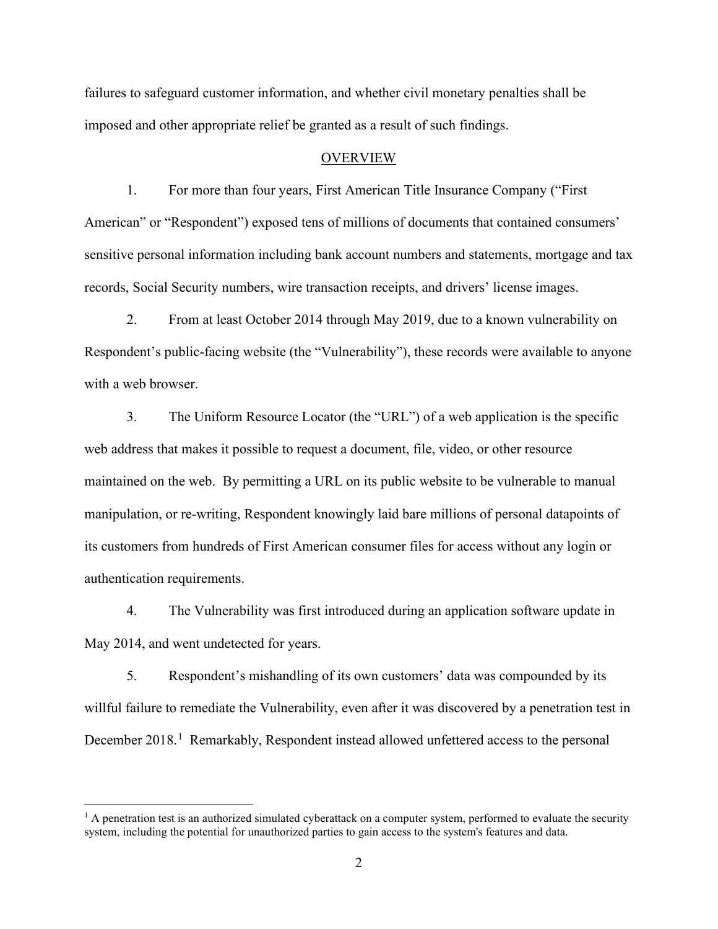failures to safeguard customer information, and whether civil monetary penalties shall be imposed and other appropriate relief be granted as a result of such findings.

#### OVERVIEW

1. For more than four years, First American Title Insurance Company ("First American" or "Respondent") exposed tens of millions of documents that contained consumers' sensitive personal information including bank account numbers and statements, mortgage and tax records, Social Security numbers, wire transaction receipts, and drivers' license images.

2. From at least October 2014 through May 2019, due to a known vulnerability on Respondent's public-facing website (the "Vulnerability"), these records were available to anyone with a web browser.

3. The Uniform Resource Locator (the "URL") of a web application is the specific web address that makes it possible to request a document, file, video, or other resource maintained on the web. By permitting a URL on its public website to be vulnerable to manual manipulation, or re-writing, Respondent knowingly laid bare millions of personal datapoints of its customers from hundreds of First American consumer files for access without any login or authentication requirements.

4. The Vulnerability was first introduced during an application software update in May 2014, and went undetected for years.

5. Respondent's mishandling of its own customers' data was compounded by its willful failure to remediate the Vulnerability, even after it was discovered by a penetration test in December 2018.<sup>1</sup> Remarkably, Respondent instead allowed unfettered access to the personal

 $<sup>1</sup>$  A penetration test is an authorized simulated cyberattack on a computer system, performed to evaluate the security</sup> system, including the potential for unauthorized parties to gain access to the system's features and data.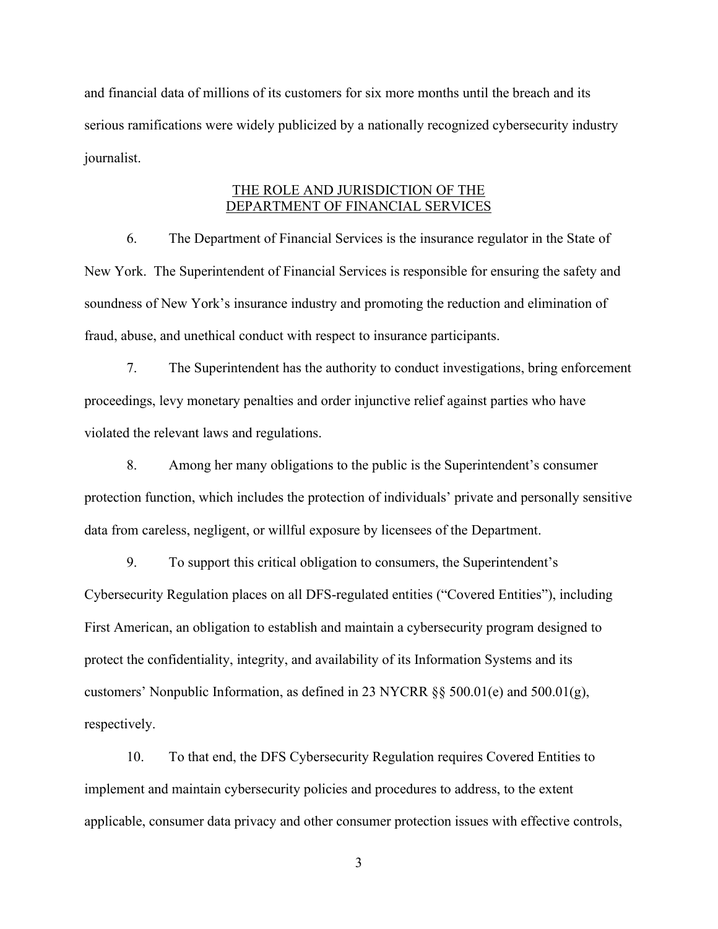and financial data of millions of its customers for six more months until the breach and its serious ramifications were widely publicized by a nationally recognized cybersecurity industry journalist.

## THE ROLE AND JURISDICTION OF THE DEPARTMENT OF FINANCIAL SERVICES

6. The Department of Financial Services is the insurance regulator in the State of New York. The Superintendent of Financial Services is responsible for ensuring the safety and soundness of New York's insurance industry and promoting the reduction and elimination of fraud, abuse, and unethical conduct with respect to insurance participants.

7. The Superintendent has the authority to conduct investigations, bring enforcement proceedings, levy monetary penalties and order injunctive relief against parties who have violated the relevant laws and regulations.

8. Among her many obligations to the public is the Superintendent's consumer protection function, which includes the protection of individuals' private and personally sensitive data from careless, negligent, or willful exposure by licensees of the Department.

9. To support this critical obligation to consumers, the Superintendent's Cybersecurity Regulation places on all DFS-regulated entities ("Covered Entities"), including First American, an obligation to establish and maintain a cybersecurity program designed to protect the confidentiality, integrity, and availability of its Information Systems and its customers' Nonpublic Information, as defined in 23 NYCRR §§ 500.01(e) and 500.01(g), respectively.

10. To that end, the DFS Cybersecurity Regulation requires Covered Entities to implement and maintain cybersecurity policies and procedures to address, to the extent applicable, consumer data privacy and other consumer protection issues with effective controls,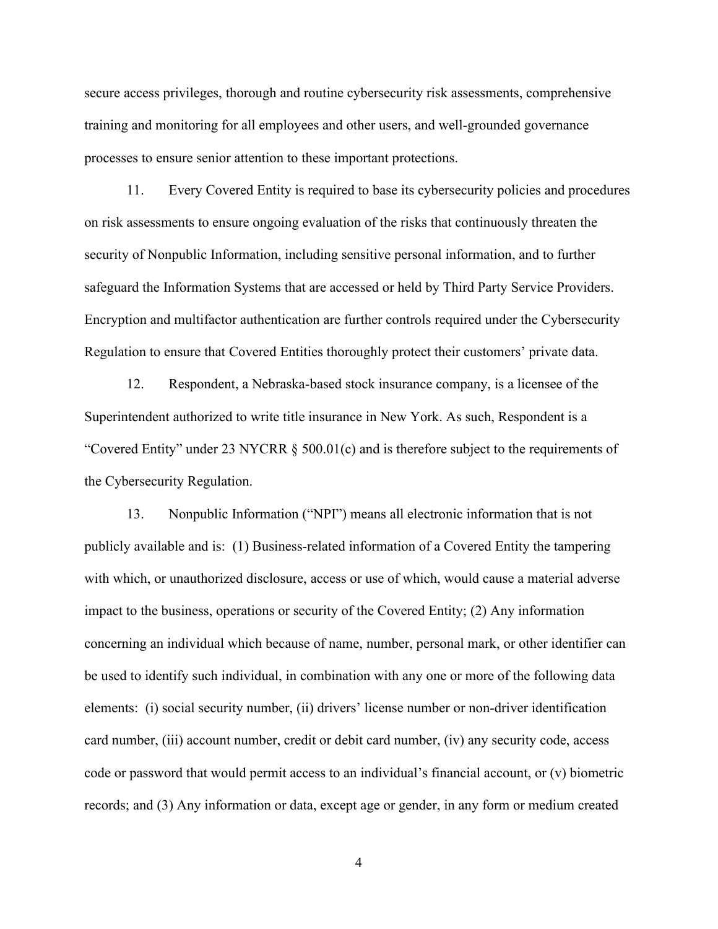secure access privileges, thorough and routine cybersecurity risk assessments, comprehensive training and monitoring for all employees and other users, and well-grounded governance processes to ensure senior attention to these important protections.

11. Every Covered Entity is required to base its cybersecurity policies and procedures on risk assessments to ensure ongoing evaluation of the risks that continuously threaten the security of Nonpublic Information, including sensitive personal information, and to further safeguard the Information Systems that are accessed or held by Third Party Service Providers. Encryption and multifactor authentication are further controls required under the Cybersecurity Regulation to ensure that Covered Entities thoroughly protect their customers' private data.

12. Respondent, a Nebraska-based stock insurance company, is a licensee of the Superintendent authorized to write title insurance in New York. As such, Respondent is a "Covered Entity" under 23 NYCRR § 500.01(c) and is therefore subject to the requirements of the Cybersecurity Regulation.

13. Nonpublic Information ("NPI") means all electronic information that is not publicly available and is: (1) Business-related information of a Covered Entity the tampering with which, or unauthorized disclosure, access or use of which, would cause a material adverse impact to the business, operations or security of the Covered Entity; (2) Any information concerning an individual which because of name, number, personal mark, or other identifier can be used to identify such individual, in combination with any one or more of the following data elements: (i) social security number, (ii) drivers' license number or non-driver identification card number, (iii) account number, credit or debit card number, (iv) any security code, access code or password that would permit access to an individual's financial account, or (v) biometric records; and (3) Any information or data, except age or gender, in any form or medium created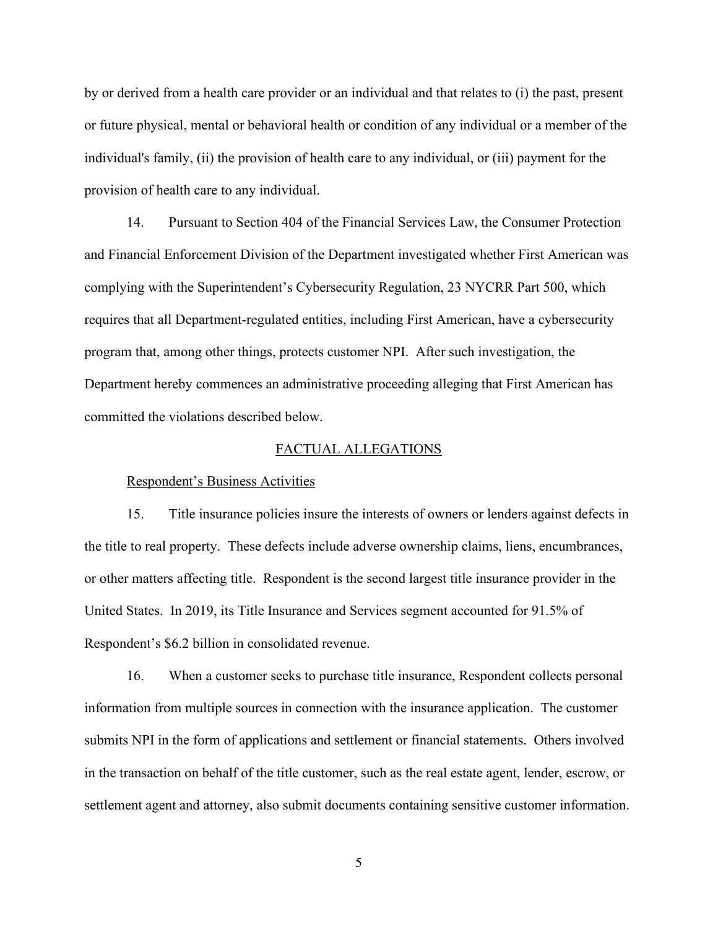by or derived from a health care provider or an individual and that relates to (i) the past, present or future physical, mental or behavioral health or condition of any individual or a member of the individual's family, (ii) the provision of health care to any individual, or (iii) payment for the provision of health care to any individual.

14. Pursuant to Section 404 of the Financial Services Law, the Consumer Protection and Financial Enforcement Division of the Department investigated whether First American was complying with the Superintendent's Cybersecurity Regulation, 23 NYCRR Part 500, which requires that all Department-regulated entities, including First American, have a cybersecurity program that, among other things, protects customer NPI. After such investigation, the Department hereby commences an administrative proceeding alleging that First American has committed the violations described below.

### FACTUAL ALLEGATIONS

#### Respondent's Business Activities

15. Title insurance policies insure the interests of owners or lenders against defects in the title to real property. These defects include adverse ownership claims, liens, encumbrances, or other matters affecting title. Respondent is the second largest title insurance provider in the United States. In 2019, its Title Insurance and Services segment accounted for 91.5% of Respondent's \$6.2 billion in consolidated revenue.

16. When a customer seeks to purchase title insurance, Respondent collects personal information from multiple sources in connection with the insurance application. The customer submits NPI in the form of applications and settlement or financial statements. Others involved in the transaction on behalf of the title customer, such as the real estate agent, lender, escrow, or settlement agent and attorney, also submit documents containing sensitive customer information.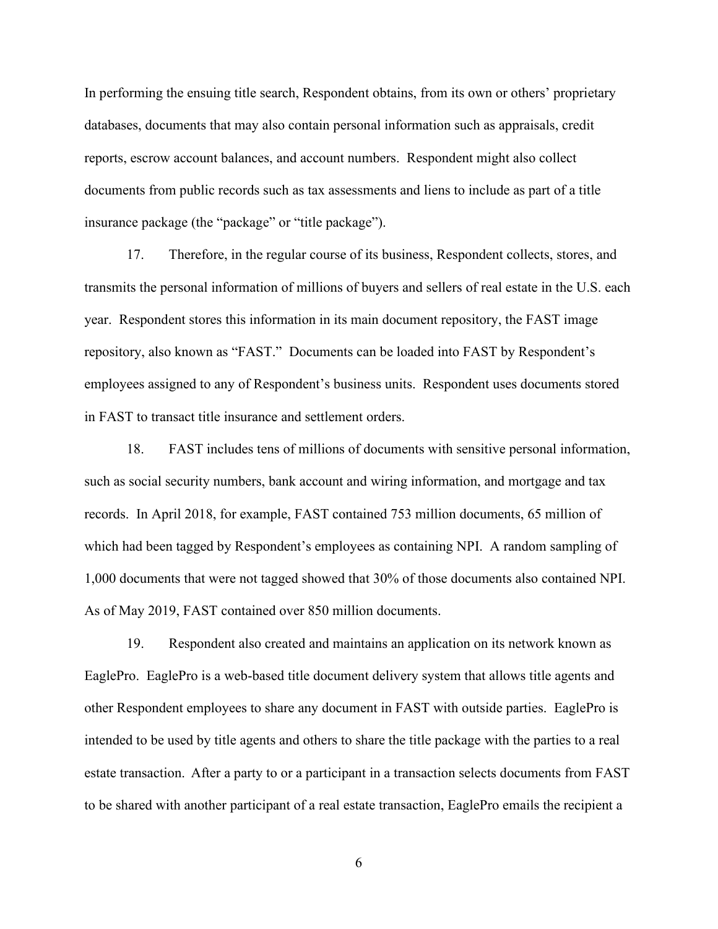In performing the ensuing title search, Respondent obtains, from its own or others' proprietary databases, documents that may also contain personal information such as appraisals, credit reports, escrow account balances, and account numbers. Respondent might also collect documents from public records such as tax assessments and liens to include as part of a title insurance package (the "package" or "title package").

17. Therefore, in the regular course of its business, Respondent collects, stores, and transmits the personal information of millions of buyers and sellers of real estate in the U.S. each year. Respondent stores this information in its main document repository, the FAST image repository, also known as "FAST." Documents can be loaded into FAST by Respondent's employees assigned to any of Respondent's business units. Respondent uses documents stored in FAST to transact title insurance and settlement orders.

18. FAST includes tens of millions of documents with sensitive personal information, such as social security numbers, bank account and wiring information, and mortgage and tax records. In April 2018, for example, FAST contained 753 million documents, 65 million of which had been tagged by Respondent's employees as containing NPI. A random sampling of 1,000 documents that were not tagged showed that 30% of those documents also contained NPI. As of May 2019, FAST contained over 850 million documents.

19. Respondent also created and maintains an application on its network known as EaglePro. EaglePro is a web-based title document delivery system that allows title agents and other Respondent employees to share any document in FAST with outside parties. EaglePro is intended to be used by title agents and others to share the title package with the parties to a real estate transaction. After a party to or a participant in a transaction selects documents from FAST to be shared with another participant of a real estate transaction, EaglePro emails the recipient a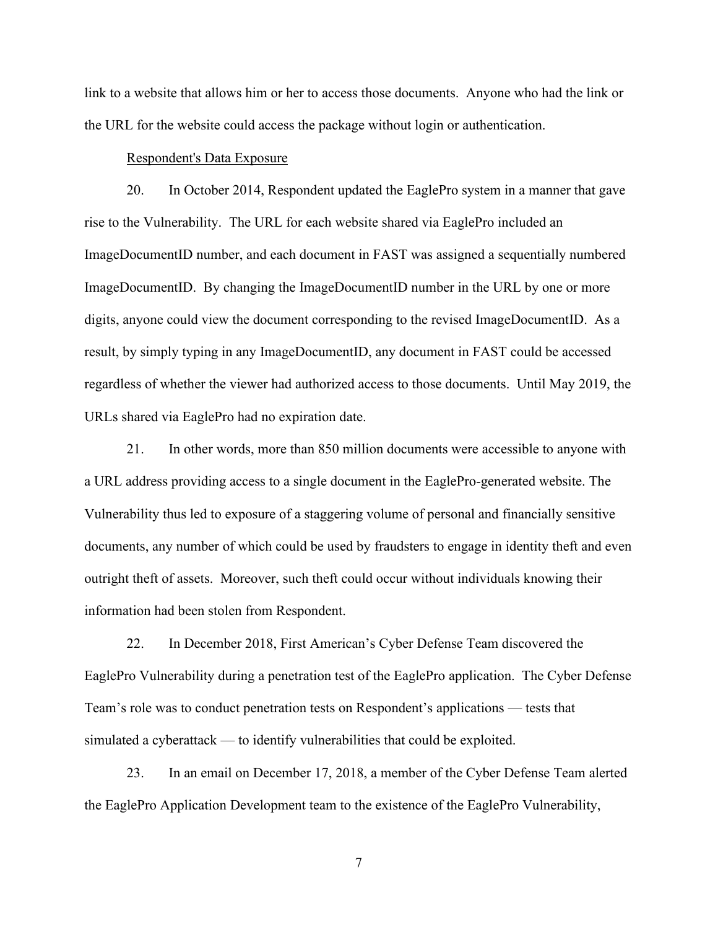link to a website that allows him or her to access those documents. Anyone who had the link or the URL for the website could access the package without login or authentication.

#### Respondent's Data Exposure

20. In October 2014, Respondent updated the EaglePro system in a manner that gave rise to the Vulnerability. The URL for each website shared via EaglePro included an ImageDocumentID number, and each document in FAST was assigned a sequentially numbered ImageDocumentID. By changing the ImageDocumentID number in the URL by one or more digits, anyone could view the document corresponding to the revised ImageDocumentID. As a result, by simply typing in any ImageDocumentID, any document in FAST could be accessed regardless of whether the viewer had authorized access to those documents. Until May 2019, the URLs shared via EaglePro had no expiration date.

21. In other words, more than 850 million documents were accessible to anyone with a URL address providing access to a single document in the EaglePro-generated website. The Vulnerability thus led to exposure of a staggering volume of personal and financially sensitive documents, any number of which could be used by fraudsters to engage in identity theft and even outright theft of assets. Moreover, such theft could occur without individuals knowing their information had been stolen from Respondent.

22. In December 2018, First American's Cyber Defense Team discovered the EaglePro Vulnerability during a penetration test of the EaglePro application. The Cyber Defense Team's role was to conduct penetration tests on Respondent's applications — tests that simulated a cyberattack — to identify vulnerabilities that could be exploited.

23. In an email on December 17, 2018, a member of the Cyber Defense Team alerted the EaglePro Application Development team to the existence of the EaglePro Vulnerability,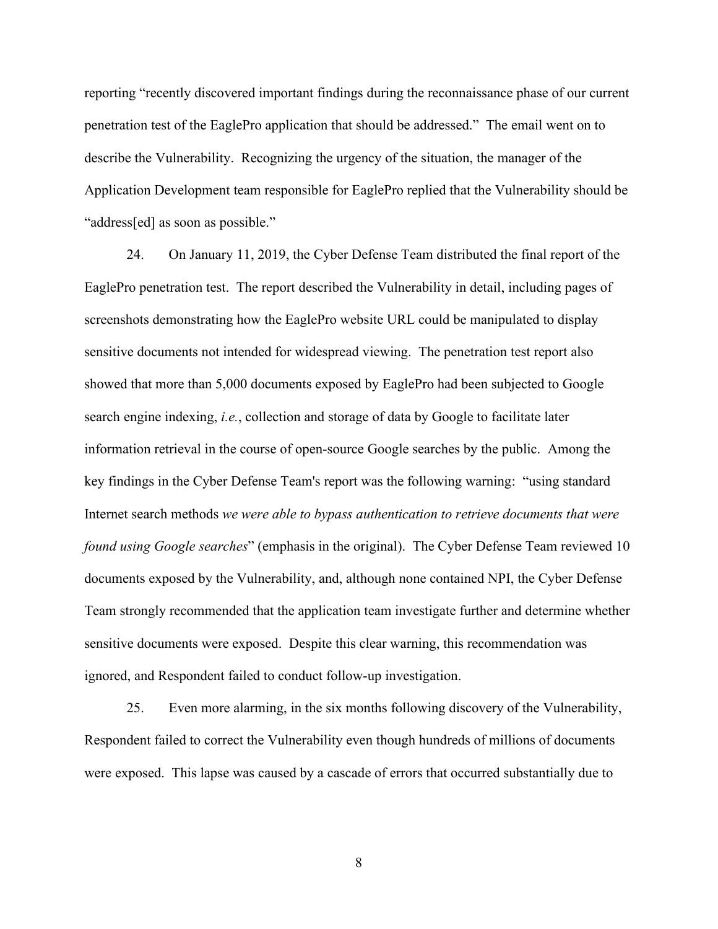reporting "recently discovered important findings during the reconnaissance phase of our current penetration test of the EaglePro application that should be addressed." The email went on to describe the Vulnerability. Recognizing the urgency of the situation, the manager of the Application Development team responsible for EaglePro replied that the Vulnerability should be "address[ed] as soon as possible."

24. On January 11, 2019, the Cyber Defense Team distributed the final report of the EaglePro penetration test. The report described the Vulnerability in detail, including pages of screenshots demonstrating how the EaglePro website URL could be manipulated to display sensitive documents not intended for widespread viewing. The penetration test report also showed that more than 5,000 documents exposed by EaglePro had been subjected to Google search engine indexing, *i.e.*, collection and storage of data by Google to facilitate later information retrieval in the course of open-source Google searches by the public. Among the key findings in the Cyber Defense Team's report was the following warning: "using standard Internet search methods *we were able to bypass authentication to retrieve documents that were found using Google searches*" (emphasis in the original). The Cyber Defense Team reviewed 10 documents exposed by the Vulnerability, and, although none contained NPI, the Cyber Defense Team strongly recommended that the application team investigate further and determine whether sensitive documents were exposed. Despite this clear warning, this recommendation was ignored, and Respondent failed to conduct follow-up investigation.

25. Even more alarming, in the six months following discovery of the Vulnerability, Respondent failed to correct the Vulnerability even though hundreds of millions of documents were exposed. This lapse was caused by a cascade of errors that occurred substantially due to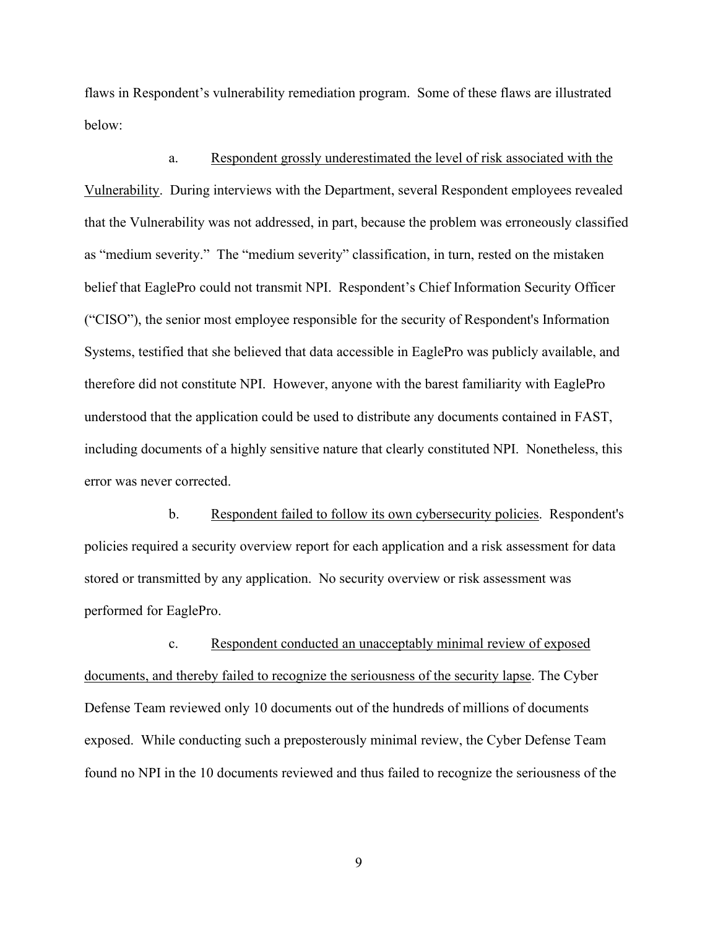flaws in Respondent's vulnerability remediation program. Some of these flaws are illustrated below:

a. Respondent grossly underestimated the level of risk associated with the Vulnerability. During interviews with the Department, several Respondent employees revealed that the Vulnerability was not addressed, in part, because the problem was erroneously classified as "medium severity." The "medium severity" classification, in turn, rested on the mistaken belief that EaglePro could not transmit NPI. Respondent's Chief Information Security Officer ("CISO"), the senior most employee responsible for the security of Respondent's Information Systems, testified that she believed that data accessible in EaglePro was publicly available, and therefore did not constitute NPI. However, anyone with the barest familiarity with EaglePro understood that the application could be used to distribute any documents contained in FAST, including documents of a highly sensitive nature that clearly constituted NPI. Nonetheless, this error was never corrected.

b. Respondent failed to follow its own cybersecurity policies. Respondent's policies required a security overview report for each application and a risk assessment for data stored or transmitted by any application. No security overview or risk assessment was performed for EaglePro.

c. Respondent conducted an unacceptably minimal review of exposed documents, and thereby failed to recognize the seriousness of the security lapse. The Cyber Defense Team reviewed only 10 documents out of the hundreds of millions of documents exposed. While conducting such a preposterously minimal review, the Cyber Defense Team found no NPI in the 10 documents reviewed and thus failed to recognize the seriousness of the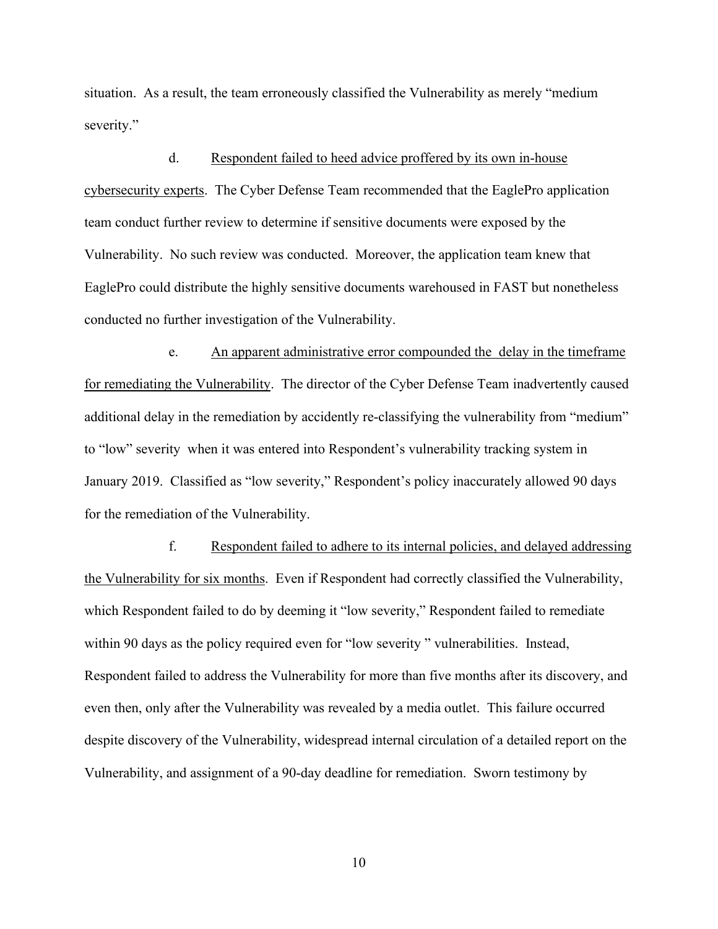situation. As a result, the team erroneously classified the Vulnerability as merely "medium severity."

d. Respondent failed to heed advice proffered by its own in-house cybersecurity experts. The Cyber Defense Team recommended that the EaglePro application team conduct further review to determine if sensitive documents were exposed by the Vulnerability. No such review was conducted. Moreover, the application team knew that EaglePro could distribute the highly sensitive documents warehoused in FAST but nonetheless conducted no further investigation of the Vulnerability.

e. An apparent administrative error compounded the delay in the timeframe for remediating the Vulnerability. The director of the Cyber Defense Team inadvertently caused additional delay in the remediation by accidently re-classifying the vulnerability from "medium" to "low" severity when it was entered into Respondent's vulnerability tracking system in January 2019. Classified as "low severity," Respondent's policy inaccurately allowed 90 days for the remediation of the Vulnerability.

f. Respondent failed to adhere to its internal policies, and delayed addressing the Vulnerability for six months. Even if Respondent had correctly classified the Vulnerability, which Respondent failed to do by deeming it "low severity," Respondent failed to remediate within 90 days as the policy required even for "low severity" vulnerabilities. Instead, Respondent failed to address the Vulnerability for more than five months after its discovery, and even then, only after the Vulnerability was revealed by a media outlet. This failure occurred despite discovery of the Vulnerability, widespread internal circulation of a detailed report on the Vulnerability, and assignment of a 90-day deadline for remediation. Sworn testimony by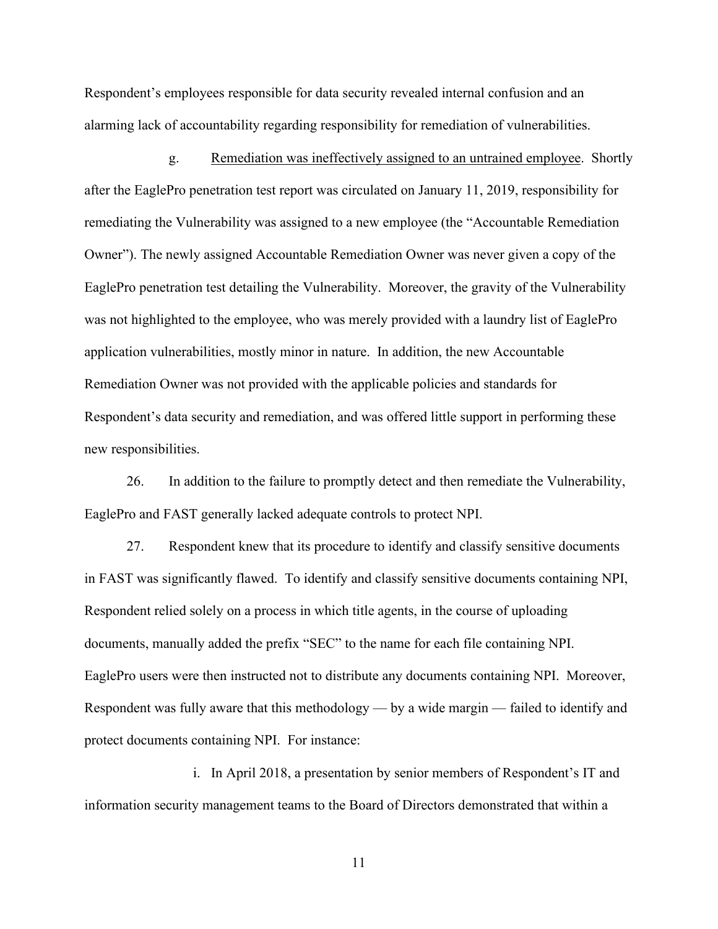Respondent's employees responsible for data security revealed internal confusion and an alarming lack of accountability regarding responsibility for remediation of vulnerabilities.

g. Remediation was ineffectively assigned to an untrained employee. Shortly after the EaglePro penetration test report was circulated on January 11, 2019, responsibility for remediating the Vulnerability was assigned to a new employee (the "Accountable Remediation Owner"). The newly assigned Accountable Remediation Owner was never given a copy of the EaglePro penetration test detailing the Vulnerability. Moreover, the gravity of the Vulnerability was not highlighted to the employee, who was merely provided with a laundry list of EaglePro application vulnerabilities, mostly minor in nature. In addition, the new Accountable Remediation Owner was not provided with the applicable policies and standards for Respondent's data security and remediation, and was offered little support in performing these new responsibilities.

26. In addition to the failure to promptly detect and then remediate the Vulnerability, EaglePro and FAST generally lacked adequate controls to protect NPI.

27. Respondent knew that its procedure to identify and classify sensitive documents in FAST was significantly flawed. To identify and classify sensitive documents containing NPI, Respondent relied solely on a process in which title agents, in the course of uploading documents, manually added the prefix "SEC" to the name for each file containing NPI. EaglePro users were then instructed not to distribute any documents containing NPI. Moreover, Respondent was fully aware that this methodology — by a wide margin — failed to identify and protect documents containing NPI. For instance:

i. In April 2018, a presentation by senior members of Respondent's IT and information security management teams to the Board of Directors demonstrated that within a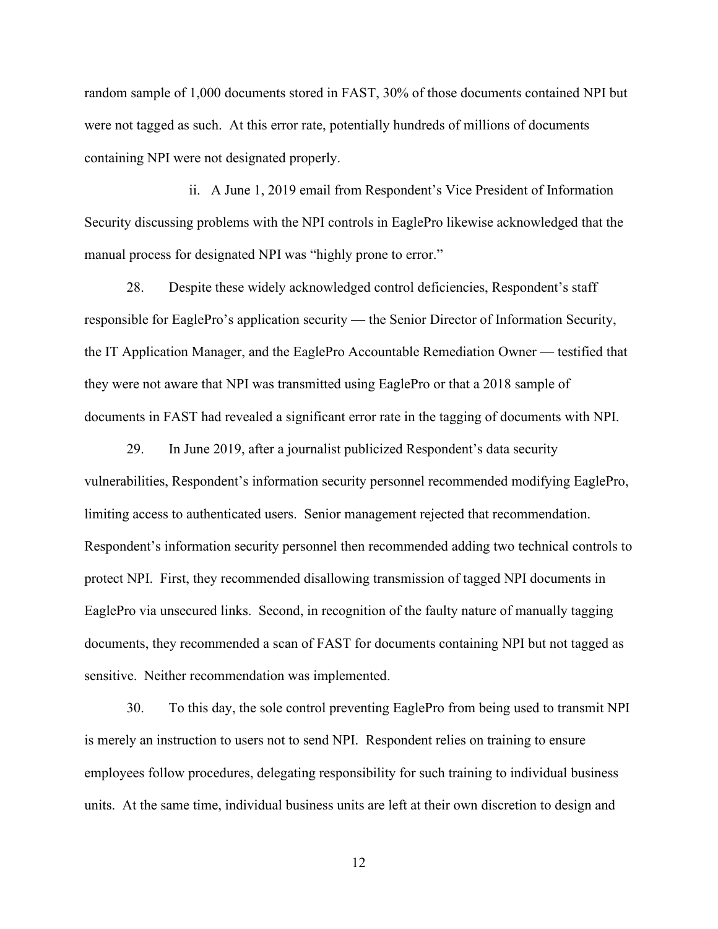random sample of 1,000 documents stored in FAST, 30% of those documents contained NPI but were not tagged as such. At this error rate, potentially hundreds of millions of documents containing NPI were not designated properly.

ii. A June 1, 2019 email from Respondent's Vice President of Information Security discussing problems with the NPI controls in EaglePro likewise acknowledged that the manual process for designated NPI was "highly prone to error."

28. Despite these widely acknowledged control deficiencies, Respondent's staff responsible for EaglePro's application security — the Senior Director of Information Security, the IT Application Manager, and the EaglePro Accountable Remediation Owner — testified that they were not aware that NPI was transmitted using EaglePro or that a 2018 sample of documents in FAST had revealed a significant error rate in the tagging of documents with NPI.

29. In June 2019, after a journalist publicized Respondent's data security vulnerabilities, Respondent's information security personnel recommended modifying EaglePro, limiting access to authenticated users. Senior management rejected that recommendation. Respondent's information security personnel then recommended adding two technical controls to protect NPI. First, they recommended disallowing transmission of tagged NPI documents in EaglePro via unsecured links. Second, in recognition of the faulty nature of manually tagging documents, they recommended a scan of FAST for documents containing NPI but not tagged as sensitive. Neither recommendation was implemented.

30. To this day, the sole control preventing EaglePro from being used to transmit NPI is merely an instruction to users not to send NPI. Respondent relies on training to ensure employees follow procedures, delegating responsibility for such training to individual business units. At the same time, individual business units are left at their own discretion to design and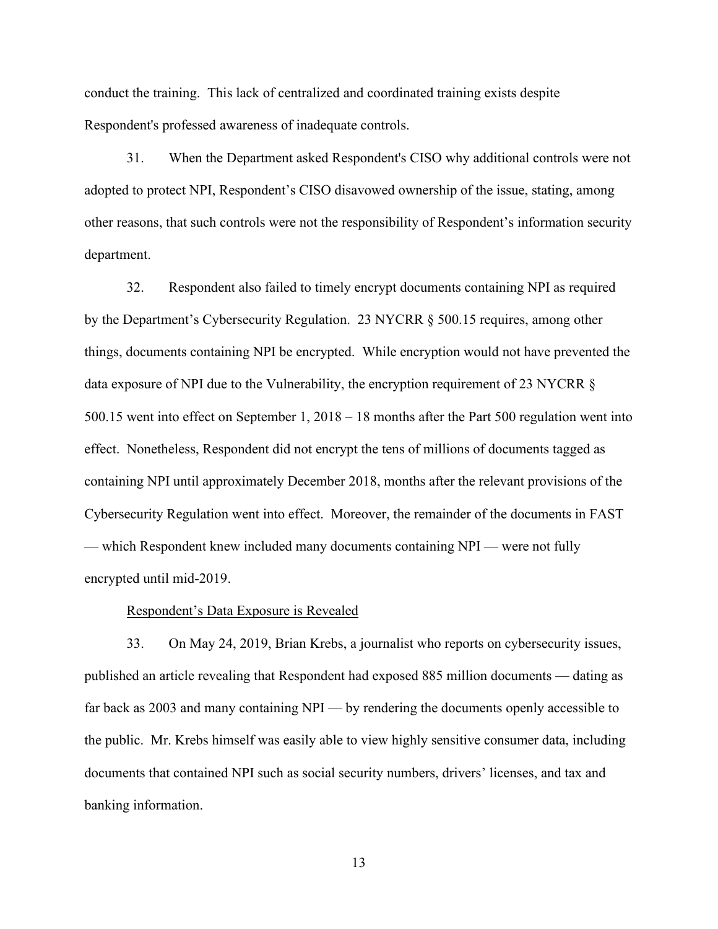conduct the training. This lack of centralized and coordinated training exists despite Respondent's professed awareness of inadequate controls.

31. When the Department asked Respondent's CISO why additional controls were not adopted to protect NPI, Respondent's CISO disavowed ownership of the issue, stating, among other reasons, that such controls were not the responsibility of Respondent's information security department.

32. Respondent also failed to timely encrypt documents containing NPI as required by the Department's Cybersecurity Regulation. 23 NYCRR § 500.15 requires, among other things, documents containing NPI be encrypted. While encryption would not have prevented the data exposure of NPI due to the Vulnerability, the encryption requirement of 23 NYCRR § 500.15 went into effect on September 1, 2018 – 18 months after the Part 500 regulation went into effect. Nonetheless, Respondent did not encrypt the tens of millions of documents tagged as containing NPI until approximately December 2018, months after the relevant provisions of the Cybersecurity Regulation went into effect. Moreover, the remainder of the documents in FAST — which Respondent knew included many documents containing NPI — were not fully encrypted until mid-2019.

#### Respondent's Data Exposure is Revealed

33. On May 24, 2019, Brian Krebs, a journalist who reports on cybersecurity issues, published an article revealing that Respondent had exposed 885 million documents — dating as far back as 2003 and many containing NPI — by rendering the documents openly accessible to the public. Mr. Krebs himself was easily able to view highly sensitive consumer data, including documents that contained NPI such as social security numbers, drivers' licenses, and tax and banking information.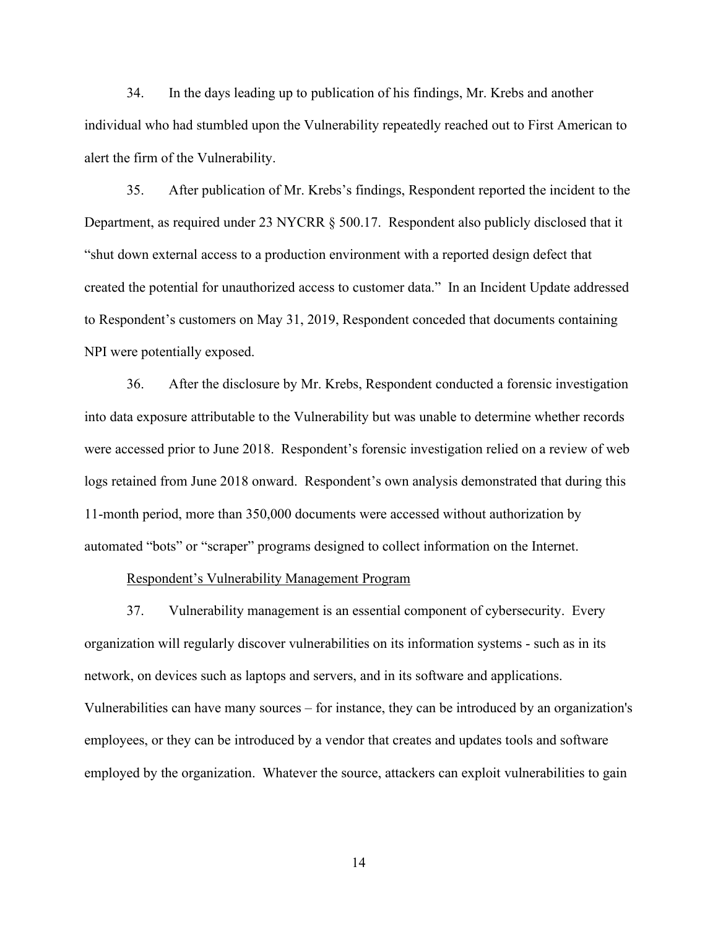34. In the days leading up to publication of his findings, Mr. Krebs and another individual who had stumbled upon the Vulnerability repeatedly reached out to First American to alert the firm of the Vulnerability.

35. After publication of Mr. Krebs's findings, Respondent reported the incident to the Department, as required under 23 NYCRR § 500.17. Respondent also publicly disclosed that it "shut down external access to a production environment with a reported design defect that created the potential for unauthorized access to customer data." In an Incident Update addressed to Respondent's customers on May 31, 2019, Respondent conceded that documents containing NPI were potentially exposed.

36. After the disclosure by Mr. Krebs, Respondent conducted a forensic investigation into data exposure attributable to the Vulnerability but was unable to determine whether records were accessed prior to June 2018. Respondent's forensic investigation relied on a review of web logs retained from June 2018 onward. Respondent's own analysis demonstrated that during this 11-month period, more than 350,000 documents were accessed without authorization by automated "bots" or "scraper" programs designed to collect information on the Internet.

Respondent's Vulnerability Management Program

37. Vulnerability management is an essential component of cybersecurity. Every organization will regularly discover vulnerabilities on its information systems - such as in its network, on devices such as laptops and servers, and in its software and applications. Vulnerabilities can have many sources – for instance, they can be introduced by an organization's employees, or they can be introduced by a vendor that creates and updates tools and software employed by the organization. Whatever the source, attackers can exploit vulnerabilities to gain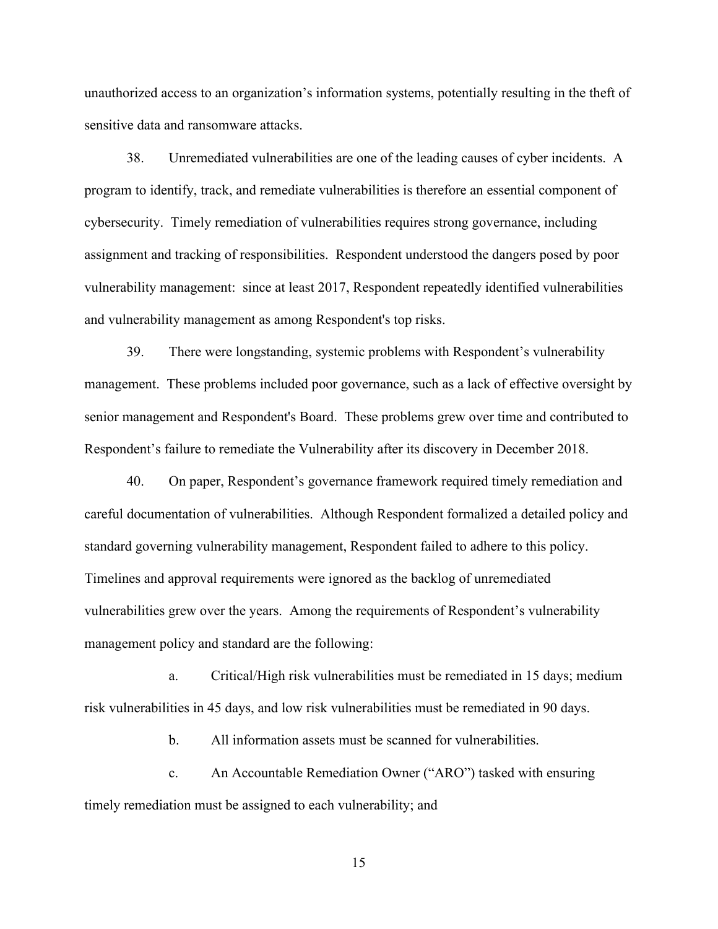unauthorized access to an organization's information systems, potentially resulting in the theft of sensitive data and ransomware attacks.

38. Unremediated vulnerabilities are one of the leading causes of cyber incidents. A program to identify, track, and remediate vulnerabilities is therefore an essential component of cybersecurity. Timely remediation of vulnerabilities requires strong governance, including assignment and tracking of responsibilities. Respondent understood the dangers posed by poor vulnerability management: since at least 2017, Respondent repeatedly identified vulnerabilities and vulnerability management as among Respondent's top risks.

39. There were longstanding, systemic problems with Respondent's vulnerability management. These problems included poor governance, such as a lack of effective oversight by senior management and Respondent's Board. These problems grew over time and contributed to Respondent's failure to remediate the Vulnerability after its discovery in December 2018.

40. On paper, Respondent's governance framework required timely remediation and careful documentation of vulnerabilities. Although Respondent formalized a detailed policy and standard governing vulnerability management, Respondent failed to adhere to this policy. Timelines and approval requirements were ignored as the backlog of unremediated vulnerabilities grew over the years. Among the requirements of Respondent's vulnerability management policy and standard are the following:

a. Critical/High risk vulnerabilities must be remediated in 15 days; medium risk vulnerabilities in 45 days, and low risk vulnerabilities must be remediated in 90 days.

b. All information assets must be scanned for vulnerabilities.

c. An Accountable Remediation Owner ("ARO") tasked with ensuring timely remediation must be assigned to each vulnerability; and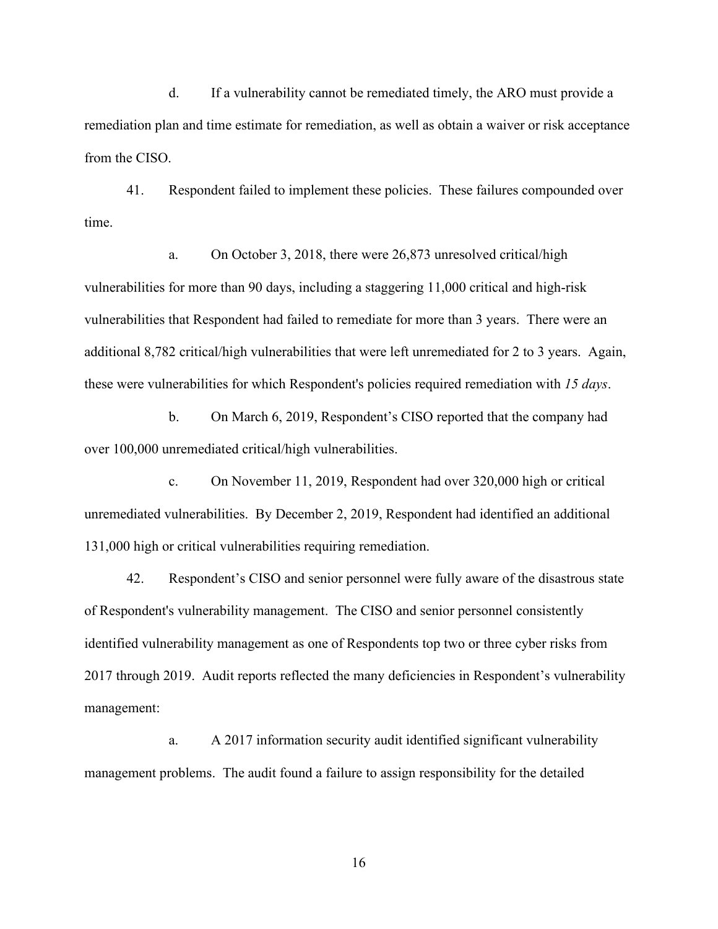d. If a vulnerability cannot be remediated timely, the ARO must provide a remediation plan and time estimate for remediation, as well as obtain a waiver or risk acceptance from the CISO.

41. Respondent failed to implement these policies. These failures compounded over time.

a. On October 3, 2018, there were 26,873 unresolved critical/high vulnerabilities for more than 90 days, including a staggering 11,000 critical and high-risk vulnerabilities that Respondent had failed to remediate for more than 3 years. There were an additional 8,782 critical/high vulnerabilities that were left unremediated for 2 to 3 years. Again, these were vulnerabilities for which Respondent's policies required remediation with *15 days*.

b. On March 6, 2019, Respondent's CISO reported that the company had over 100,000 unremediated critical/high vulnerabilities.

c. On November 11, 2019, Respondent had over 320,000 high or critical unremediated vulnerabilities. By December 2, 2019, Respondent had identified an additional 131,000 high or critical vulnerabilities requiring remediation.

42. Respondent's CISO and senior personnel were fully aware of the disastrous state of Respondent's vulnerability management. The CISO and senior personnel consistently identified vulnerability management as one of Respondents top two or three cyber risks from 2017 through 2019. Audit reports reflected the many deficiencies in Respondent's vulnerability management:

a. A 2017 information security audit identified significant vulnerability management problems. The audit found a failure to assign responsibility for the detailed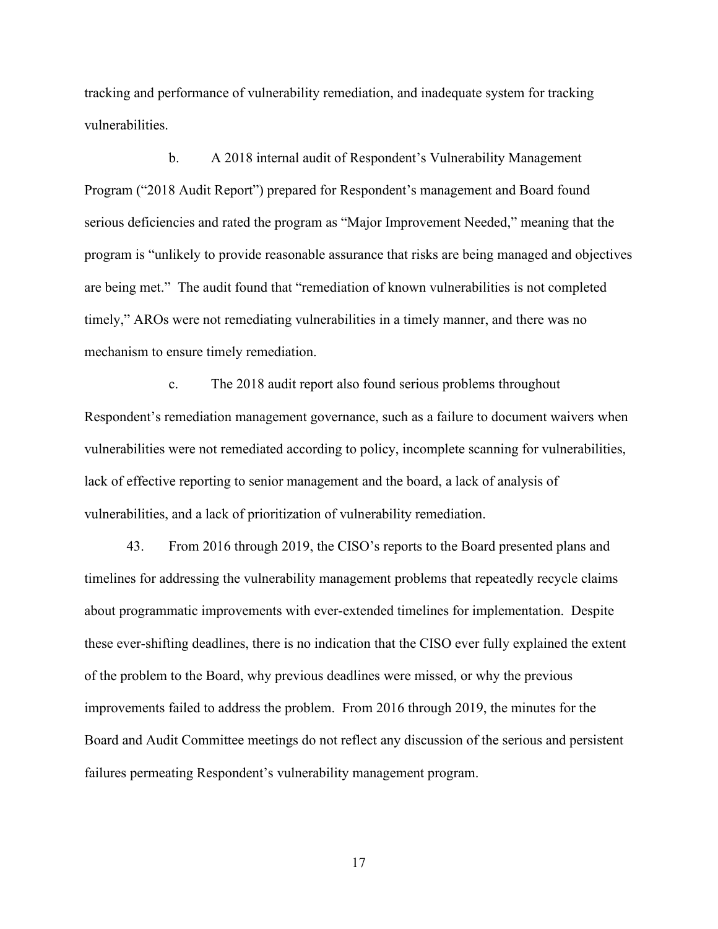tracking and performance of vulnerability remediation, and inadequate system for tracking vulnerabilities.

b. A 2018 internal audit of Respondent's Vulnerability Management Program ("2018 Audit Report") prepared for Respondent's management and Board found serious deficiencies and rated the program as "Major Improvement Needed," meaning that the program is "unlikely to provide reasonable assurance that risks are being managed and objectives are being met." The audit found that "remediation of known vulnerabilities is not completed timely," AROs were not remediating vulnerabilities in a timely manner, and there was no mechanism to ensure timely remediation.

c. The 2018 audit report also found serious problems throughout Respondent's remediation management governance, such as a failure to document waivers when vulnerabilities were not remediated according to policy, incomplete scanning for vulnerabilities, lack of effective reporting to senior management and the board, a lack of analysis of vulnerabilities, and a lack of prioritization of vulnerability remediation.

43. From 2016 through 2019, the CISO's reports to the Board presented plans and timelines for addressing the vulnerability management problems that repeatedly recycle claims about programmatic improvements with ever-extended timelines for implementation. Despite these ever-shifting deadlines, there is no indication that the CISO ever fully explained the extent of the problem to the Board, why previous deadlines were missed, or why the previous improvements failed to address the problem. From 2016 through 2019, the minutes for the Board and Audit Committee meetings do not reflect any discussion of the serious and persistent failures permeating Respondent's vulnerability management program.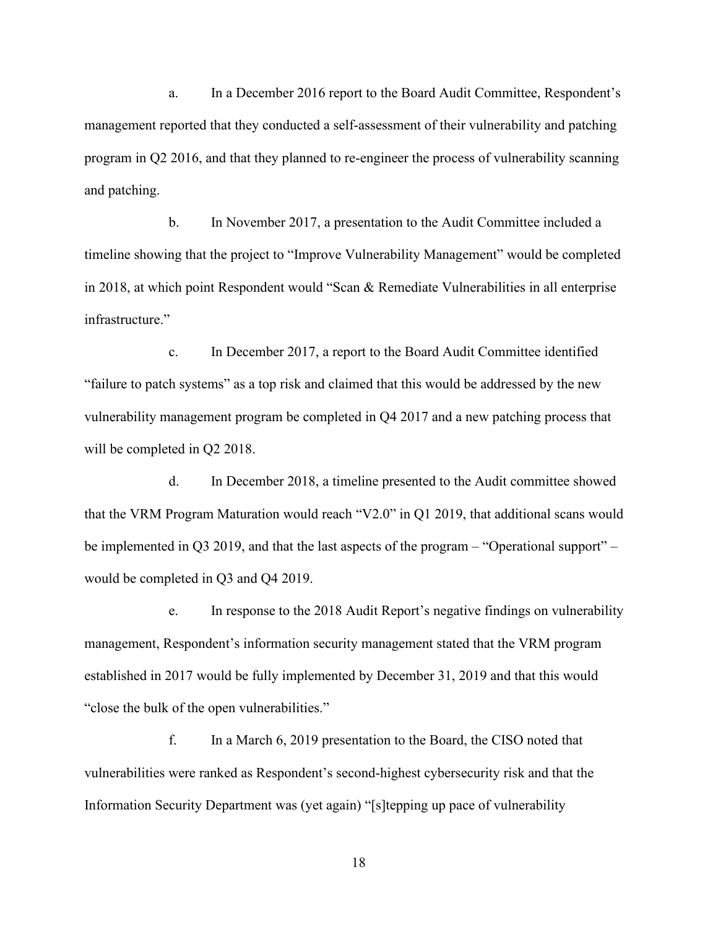a. In a December 2016 report to the Board Audit Committee, Respondent's management reported that they conducted a self-assessment of their vulnerability and patching program in Q2 2016, and that they planned to re-engineer the process of vulnerability scanning and patching.

b. In November 2017, a presentation to the Audit Committee included a timeline showing that the project to "Improve Vulnerability Management" would be completed in 2018, at which point Respondent would "Scan & Remediate Vulnerabilities in all enterprise infrastructure."

c. In December 2017, a report to the Board Audit Committee identified "failure to patch systems" as a top risk and claimed that this would be addressed by the new vulnerability management program be completed in Q4 2017 and a new patching process that will be completed in Q2 2018.

d. In December 2018, a timeline presented to the Audit committee showed that the VRM Program Maturation would reach "V2.0" in Q1 2019, that additional scans would be implemented in Q3 2019, and that the last aspects of the program – "Operational support" – would be completed in Q3 and Q4 2019.

e. In response to the 2018 Audit Report's negative findings on vulnerability management, Respondent's information security management stated that the VRM program established in 2017 would be fully implemented by December 31, 2019 and that this would "close the bulk of the open vulnerabilities."

f. In a March 6, 2019 presentation to the Board, the CISO noted that vulnerabilities were ranked as Respondent's second-highest cybersecurity risk and that the Information Security Department was (yet again) "[s]tepping up pace of vulnerability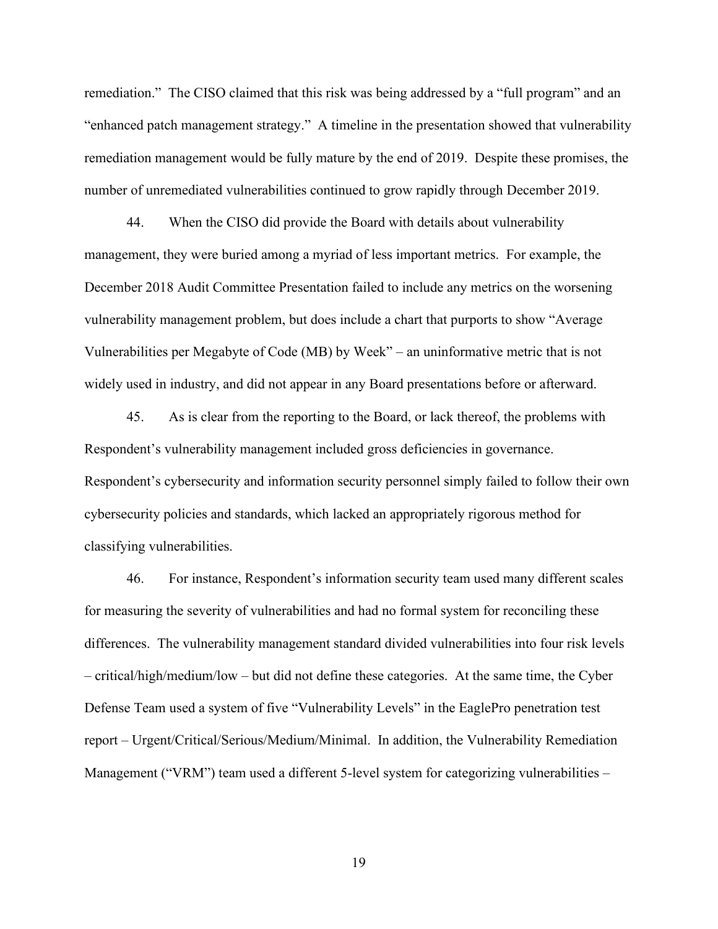remediation." The CISO claimed that this risk was being addressed by a "full program" and an "enhanced patch management strategy." A timeline in the presentation showed that vulnerability remediation management would be fully mature by the end of 2019. Despite these promises, the number of unremediated vulnerabilities continued to grow rapidly through December 2019.

44. When the CISO did provide the Board with details about vulnerability management, they were buried among a myriad of less important metrics. For example, the December 2018 Audit Committee Presentation failed to include any metrics on the worsening vulnerability management problem, but does include a chart that purports to show "Average Vulnerabilities per Megabyte of Code (MB) by Week" – an uninformative metric that is not widely used in industry, and did not appear in any Board presentations before or afterward.

45. As is clear from the reporting to the Board, or lack thereof, the problems with Respondent's vulnerability management included gross deficiencies in governance. Respondent's cybersecurity and information security personnel simply failed to follow their own cybersecurity policies and standards, which lacked an appropriately rigorous method for classifying vulnerabilities.

46. For instance, Respondent's information security team used many different scales for measuring the severity of vulnerabilities and had no formal system for reconciling these differences. The vulnerability management standard divided vulnerabilities into four risk levels – critical/high/medium/low – but did not define these categories. At the same time, the Cyber Defense Team used a system of five "Vulnerability Levels" in the EaglePro penetration test report – Urgent/Critical/Serious/Medium/Minimal. In addition, the Vulnerability Remediation Management ("VRM") team used a different 5-level system for categorizing vulnerabilities –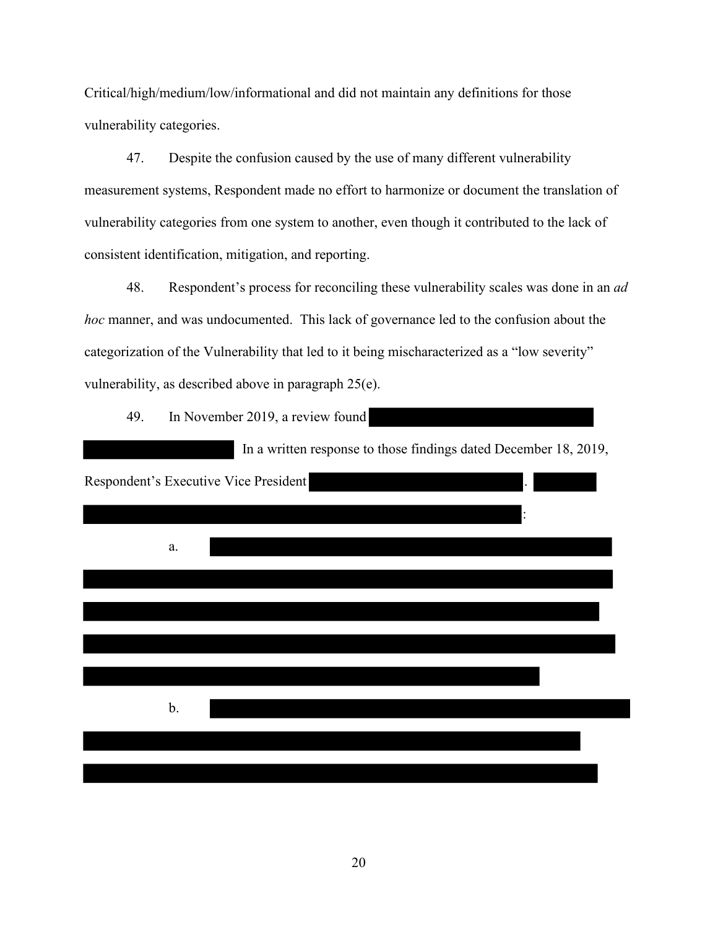Critical/high/medium/low/informational and did not maintain any definitions for those vulnerability categories.

47. Despite the confusion caused by the use of many different vulnerability measurement systems, Respondent made no effort to harmonize or document the translation of vulnerability categories from one system to another, even though it contributed to the lack of consistent identification, mitigation, and reporting.

48. Respondent's process for reconciling these vulnerability scales was done in an *ad hoc* manner, and was undocumented. This lack of governance led to the confusion about the categorization of the Vulnerability that led to it being mischaracterized as a "low severity" vulnerability, as described above in paragraph 25(e).

49. In November 2019, a review found

|                                       | In a written response to those findings dated December 18, 2019, |
|---------------------------------------|------------------------------------------------------------------|
| Respondent's Executive Vice President |                                                                  |
|                                       |                                                                  |
| a.                                    |                                                                  |
|                                       |                                                                  |
|                                       |                                                                  |
|                                       |                                                                  |
|                                       |                                                                  |
| b.                                    |                                                                  |
|                                       |                                                                  |
|                                       |                                                                  |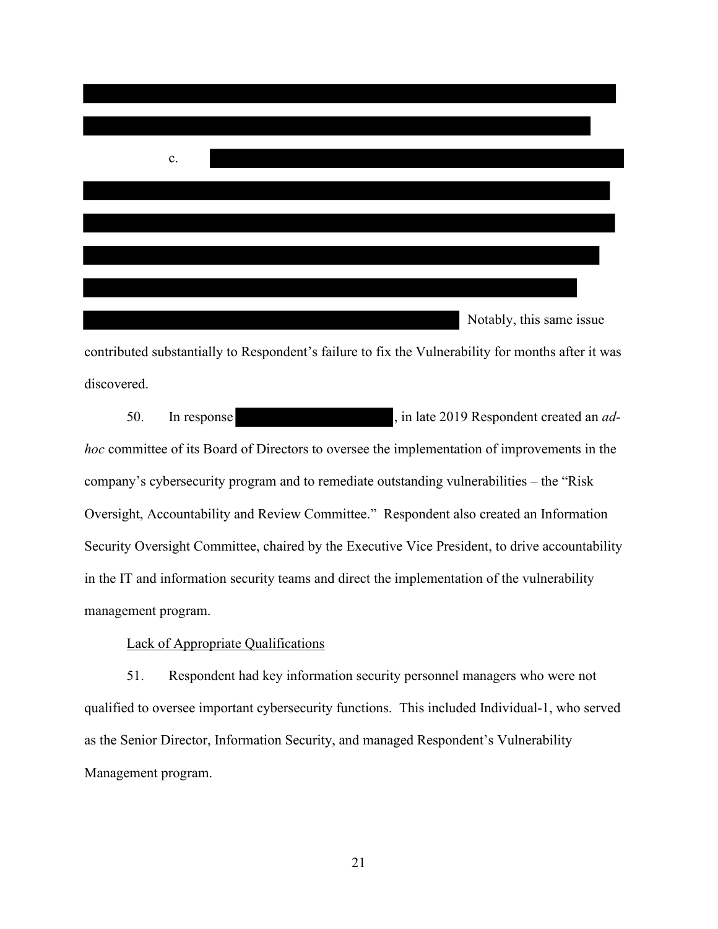

discovered.

50. In response here is a set of the set of the 1019 Respondent created an *adhoc* committee of its Board of Directors to oversee the implementation of improvements in the company's cybersecurity program and to remediate outstanding vulnerabilities – the "Risk Oversight, Accountability and Review Committee." Respondent also created an Information Security Oversight Committee, chaired by the Executive Vice President, to drive accountability in the IT and information security teams and direct the implementation of the vulnerability management program.

#### Lack of Appropriate Qualifications

51. Respondent had key information security personnel managers who were not qualified to oversee important cybersecurity functions. This included Individual-1, who served as the Senior Director, Information Security, and managed Respondent's Vulnerability Management program.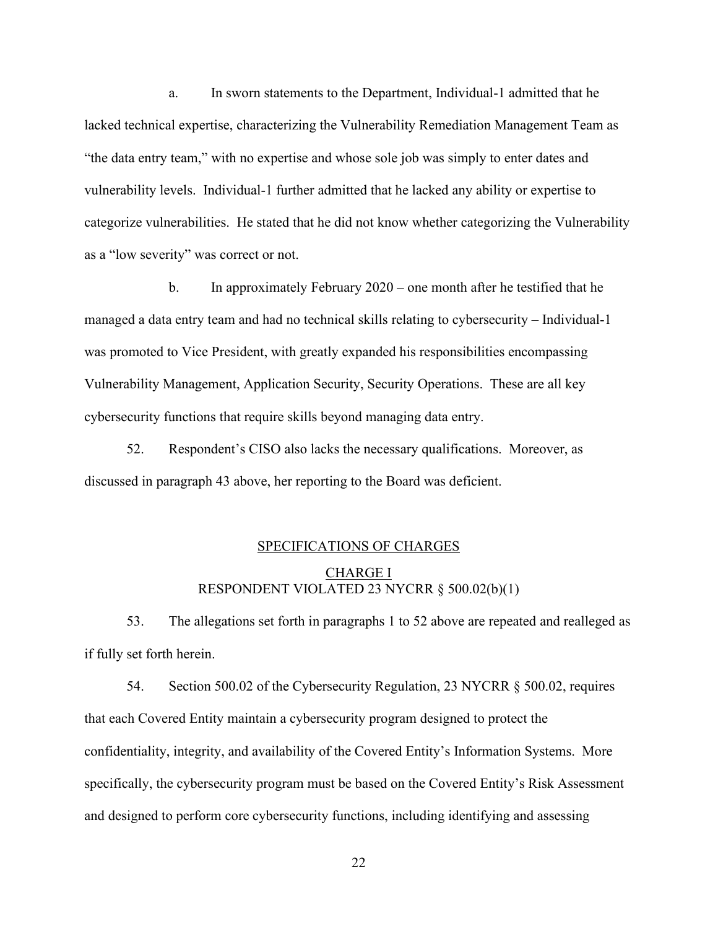a. In sworn statements to the Department, Individual-1 admitted that he lacked technical expertise, characterizing the Vulnerability Remediation Management Team as "the data entry team," with no expertise and whose sole job was simply to enter dates and vulnerability levels. Individual-1 further admitted that he lacked any ability or expertise to categorize vulnerabilities. He stated that he did not know whether categorizing the Vulnerability as a "low severity" was correct or not.

b. In approximately February 2020 – one month after he testified that he managed a data entry team and had no technical skills relating to cybersecurity – Individual-1 was promoted to Vice President, with greatly expanded his responsibilities encompassing Vulnerability Management, Application Security, Security Operations. These are all key cybersecurity functions that require skills beyond managing data entry.

52. Respondent's CISO also lacks the necessary qualifications. Moreover, as discussed in paragraph 43 above, her reporting to the Board was deficient.

# SPECIFICATIONS OF CHARGES CHARGE I RESPONDENT VIOLATED 23 NYCRR § 500.02(b)(1)

53. The allegations set forth in paragraphs 1 to 52 above are repeated and realleged as if fully set forth herein.

54. Section 500.02 of the Cybersecurity Regulation, 23 NYCRR § 500.02, requires that each Covered Entity maintain a cybersecurity program designed to protect the confidentiality, integrity, and availability of the Covered Entity's Information Systems. More specifically, the cybersecurity program must be based on the Covered Entity's Risk Assessment and designed to perform core cybersecurity functions, including identifying and assessing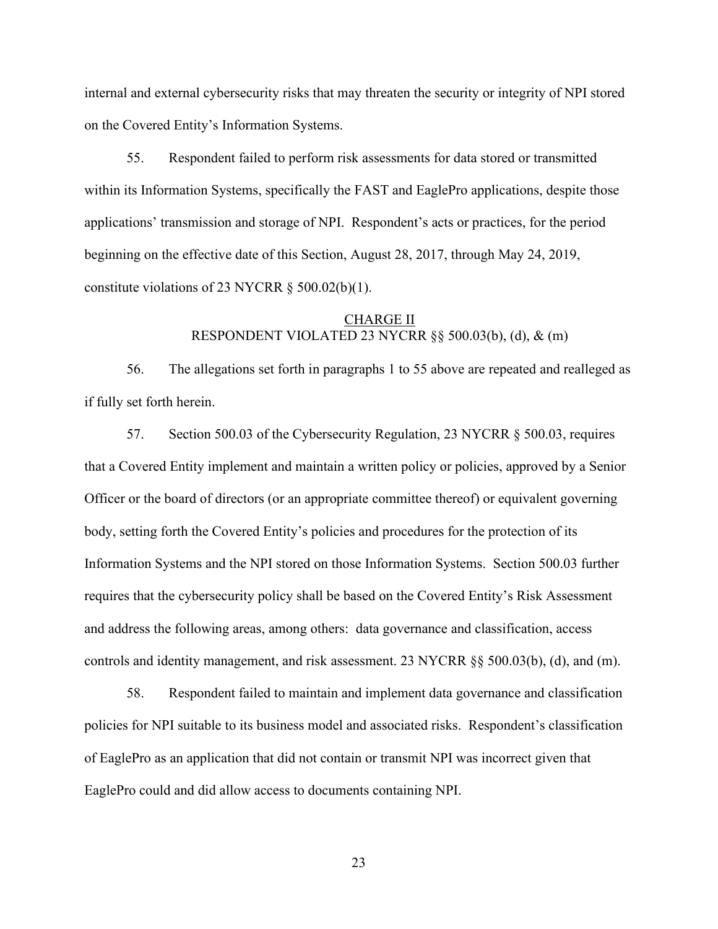internal and external cybersecurity risks that may threaten the security or integrity of NPI stored on the Covered Entity's Information Systems.

55. Respondent failed to perform risk assessments for data stored or transmitted within its Information Systems, specifically the FAST and EaglePro applications, despite those applications' transmission and storage of NPI. Respondent's acts or practices, for the period beginning on the effective date of this Section, August 28, 2017, through May 24, 2019, constitute violations of 23 NYCRR  $\S$  500.02(b)(1).

## CHARGE II RESPONDENT VIOLATED 23 NYCRR §§ 500.03(b), (d), & (m)

56. The allegations set forth in paragraphs 1 to 55 above are repeated and realleged as if fully set forth herein.

57. Section 500.03 of the Cybersecurity Regulation, 23 NYCRR § 500.03, requires that a Covered Entity implement and maintain a written policy or policies, approved by a Senior Officer or the board of directors (or an appropriate committee thereof) or equivalent governing body, setting forth the Covered Entity's policies and procedures for the protection of its Information Systems and the NPI stored on those Information Systems. Section 500.03 further requires that the cybersecurity policy shall be based on the Covered Entity's Risk Assessment and address the following areas, among others: data governance and classification, access controls and identity management, and risk assessment. 23 NYCRR §§ 500.03(b), (d), and (m).

58. Respondent failed to maintain and implement data governance and classification policies for NPI suitable to its business model and associated risks. Respondent's classification of EaglePro as an application that did not contain or transmit NPI was incorrect given that EaglePro could and did allow access to documents containing NPI.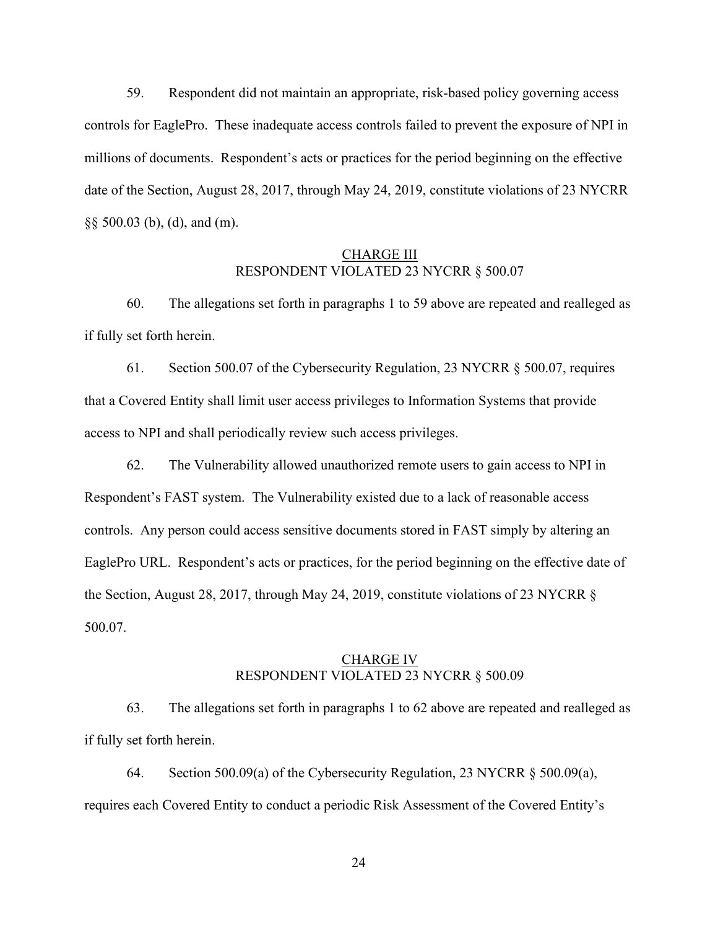59. Respondent did not maintain an appropriate, risk-based policy governing access controls for EaglePro. These inadequate access controls failed to prevent the exposure of NPI in millions of documents. Respondent's acts or practices for the period beginning on the effective date of the Section, August 28, 2017, through May 24, 2019, constitute violations of 23 NYCRR §§ 500.03 (b), (d), and (m).

#### CHARGE III RESPONDENT VIOLATED 23 NYCRR § 500.07

60. The allegations set forth in paragraphs 1 to 59 above are repeated and realleged as if fully set forth herein.

61. Section 500.07 of the Cybersecurity Regulation, 23 NYCRR § 500.07, requires that a Covered Entity shall limit user access privileges to Information Systems that provide access to NPI and shall periodically review such access privileges.

62. The Vulnerability allowed unauthorized remote users to gain access to NPI in Respondent's FAST system. The Vulnerability existed due to a lack of reasonable access controls. Any person could access sensitive documents stored in FAST simply by altering an EaglePro URL. Respondent's acts or practices, for the period beginning on the effective date of the Section, August 28, 2017, through May 24, 2019, constitute violations of 23 NYCRR § 500.07.

#### CHARGE IV RESPONDENT VIOLATED 23 NYCRR § 500.09

63. The allegations set forth in paragraphs 1 to 62 above are repeated and realleged as if fully set forth herein.

64. Section 500.09(a) of the Cybersecurity Regulation, 23 NYCRR § 500.09(a), requires each Covered Entity to conduct a periodic Risk Assessment of the Covered Entity's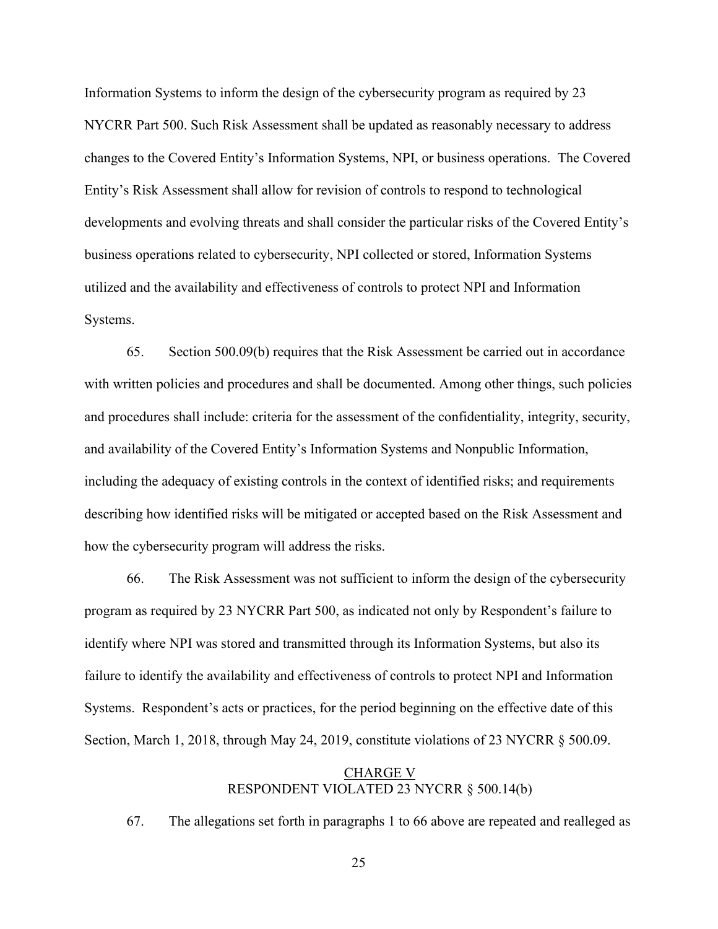Information Systems to inform the design of the cybersecurity program as required by 23 NYCRR Part 500. Such Risk Assessment shall be updated as reasonably necessary to address changes to the Covered Entity's Information Systems, NPI, or business operations. The Covered Entity's Risk Assessment shall allow for revision of controls to respond to technological developments and evolving threats and shall consider the particular risks of the Covered Entity's business operations related to cybersecurity, NPI collected or stored, Information Systems utilized and the availability and effectiveness of controls to protect NPI and Information Systems.

65. Section 500.09(b) requires that the Risk Assessment be carried out in accordance with written policies and procedures and shall be documented. Among other things, such policies and procedures shall include: criteria for the assessment of the confidentiality, integrity, security, and availability of the Covered Entity's Information Systems and Nonpublic Information, including the adequacy of existing controls in the context of identified risks; and requirements describing how identified risks will be mitigated or accepted based on the Risk Assessment and how the cybersecurity program will address the risks.

66. The Risk Assessment was not sufficient to inform the design of the cybersecurity program as required by 23 NYCRR Part 500, as indicated not only by Respondent's failure to identify where NPI was stored and transmitted through its Information Systems, but also its failure to identify the availability and effectiveness of controls to protect NPI and Information Systems. Respondent's acts or practices, for the period beginning on the effective date of this Section, March 1, 2018, through May 24, 2019, constitute violations of 23 NYCRR § 500.09.

### CHARGE V RESPONDENT VIOLATED 23 NYCRR § 500.14(b)

67. The allegations set forth in paragraphs 1 to 66 above are repeated and realleged as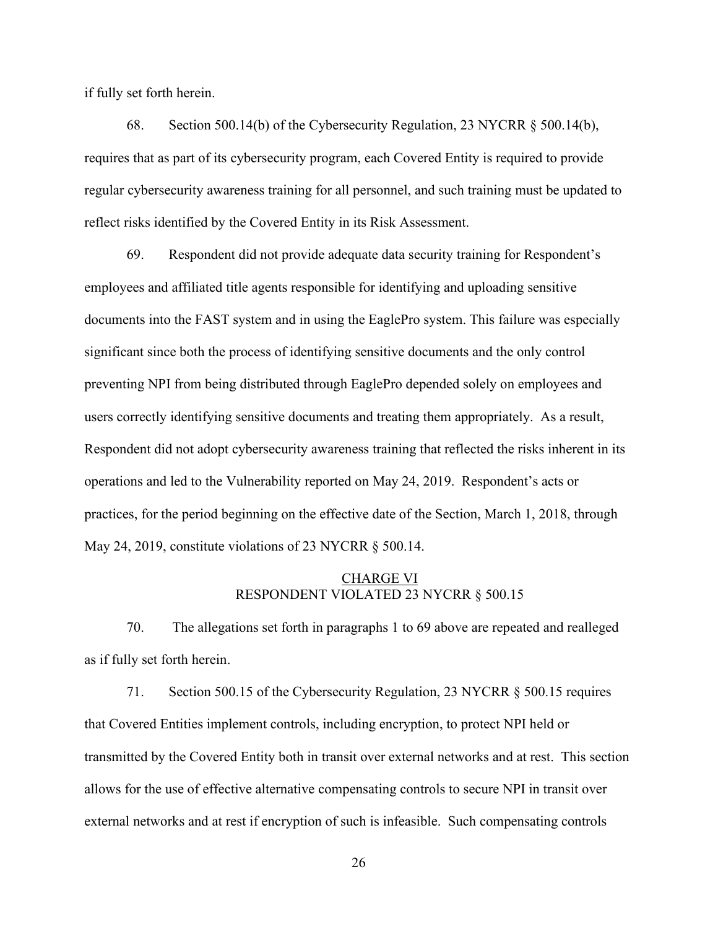if fully set forth herein.

68. Section 500.14(b) of the Cybersecurity Regulation, 23 NYCRR § 500.14(b), requires that as part of its cybersecurity program, each Covered Entity is required to provide regular cybersecurity awareness training for all personnel, and such training must be updated to reflect risks identified by the Covered Entity in its Risk Assessment.

69. Respondent did not provide adequate data security training for Respondent's employees and affiliated title agents responsible for identifying and uploading sensitive documents into the FAST system and in using the EaglePro system. This failure was especially significant since both the process of identifying sensitive documents and the only control preventing NPI from being distributed through EaglePro depended solely on employees and users correctly identifying sensitive documents and treating them appropriately. As a result, Respondent did not adopt cybersecurity awareness training that reflected the risks inherent in its operations and led to the Vulnerability reported on May 24, 2019. Respondent's acts or practices, for the period beginning on the effective date of the Section, March 1, 2018, through May 24, 2019, constitute violations of 23 NYCRR § 500.14.

#### CHARGE VI RESPONDENT VIOLATED 23 NYCRR § 500.15

70. The allegations set forth in paragraphs 1 to 69 above are repeated and realleged as if fully set forth herein.

71. Section 500.15 of the Cybersecurity Regulation, 23 NYCRR § 500.15 requires that Covered Entities implement controls, including encryption, to protect NPI held or transmitted by the Covered Entity both in transit over external networks and at rest. This section allows for the use of effective alternative compensating controls to secure NPI in transit over external networks and at rest if encryption of such is infeasible. Such compensating controls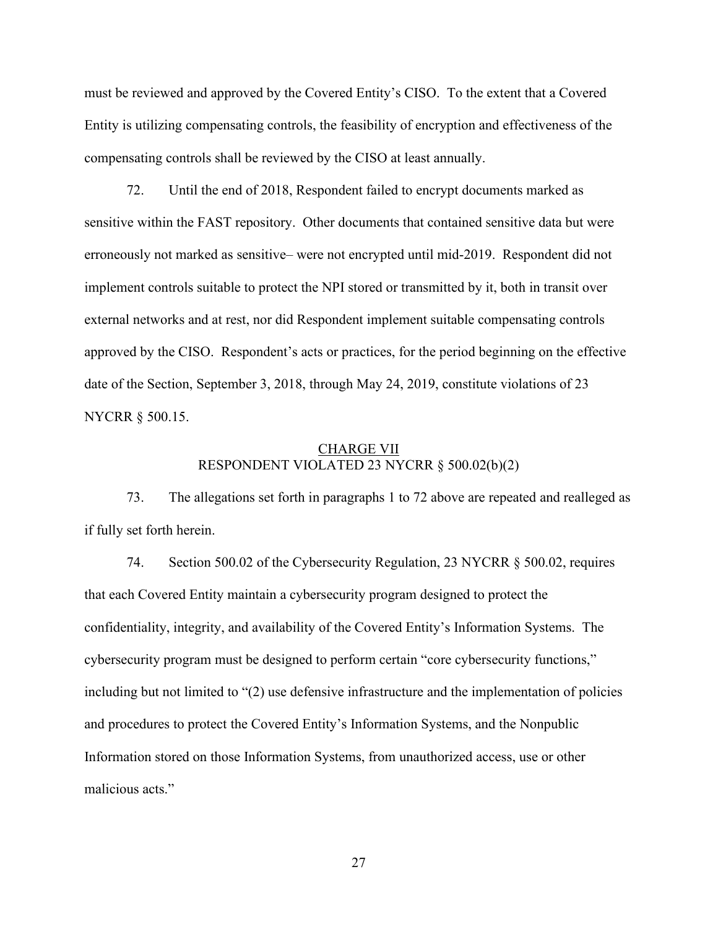must be reviewed and approved by the Covered Entity's CISO. To the extent that a Covered Entity is utilizing compensating controls, the feasibility of encryption and effectiveness of the compensating controls shall be reviewed by the CISO at least annually.

72. Until the end of 2018, Respondent failed to encrypt documents marked as sensitive within the FAST repository. Other documents that contained sensitive data but were erroneously not marked as sensitive– were not encrypted until mid-2019. Respondent did not implement controls suitable to protect the NPI stored or transmitted by it, both in transit over external networks and at rest, nor did Respondent implement suitable compensating controls approved by the CISO. Respondent's acts or practices, for the period beginning on the effective date of the Section, September 3, 2018, through May 24, 2019, constitute violations of 23 NYCRR § 500.15.

#### CHARGE VII RESPONDENT VIOLATED 23 NYCRR § 500.02(b)(2)

73. The allegations set forth in paragraphs 1 to 72 above are repeated and realleged as if fully set forth herein.

74. Section 500.02 of the Cybersecurity Regulation, 23 NYCRR § 500.02, requires that each Covered Entity maintain a cybersecurity program designed to protect the confidentiality, integrity, and availability of the Covered Entity's Information Systems. The cybersecurity program must be designed to perform certain "core cybersecurity functions," including but not limited to "(2) use defensive infrastructure and the implementation of policies and procedures to protect the Covered Entity's Information Systems, and the Nonpublic Information stored on those Information Systems, from unauthorized access, use or other malicious acts."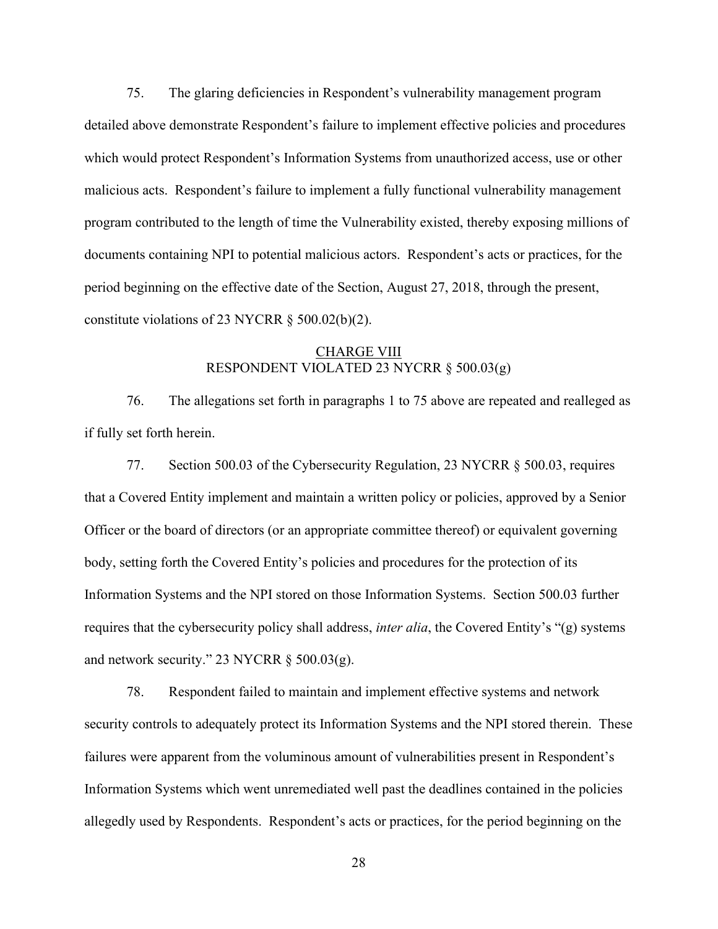75. The glaring deficiencies in Respondent's vulnerability management program detailed above demonstrate Respondent's failure to implement effective policies and procedures which would protect Respondent's Information Systems from unauthorized access, use or other malicious acts. Respondent's failure to implement a fully functional vulnerability management program contributed to the length of time the Vulnerability existed, thereby exposing millions of documents containing NPI to potential malicious actors. Respondent's acts or practices, for the period beginning on the effective date of the Section, August 27, 2018, through the present, constitute violations of 23 NYCRR § 500.02(b)(2).

### CHARGE VIII RESPONDENT VIOLATED 23 NYCRR § 500.03(g)

76. The allegations set forth in paragraphs 1 to 75 above are repeated and realleged as if fully set forth herein.

77. Section 500.03 of the Cybersecurity Regulation, 23 NYCRR § 500.03, requires that a Covered Entity implement and maintain a written policy or policies, approved by a Senior Officer or the board of directors (or an appropriate committee thereof) or equivalent governing body, setting forth the Covered Entity's policies and procedures for the protection of its Information Systems and the NPI stored on those Information Systems. Section 500.03 further requires that the cybersecurity policy shall address, *inter alia*, the Covered Entity's "(g) systems and network security." 23 NYCRR  $\S$  500.03(g).

78. Respondent failed to maintain and implement effective systems and network security controls to adequately protect its Information Systems and the NPI stored therein. These failures were apparent from the voluminous amount of vulnerabilities present in Respondent's Information Systems which went unremediated well past the deadlines contained in the policies allegedly used by Respondents. Respondent's acts or practices, for the period beginning on the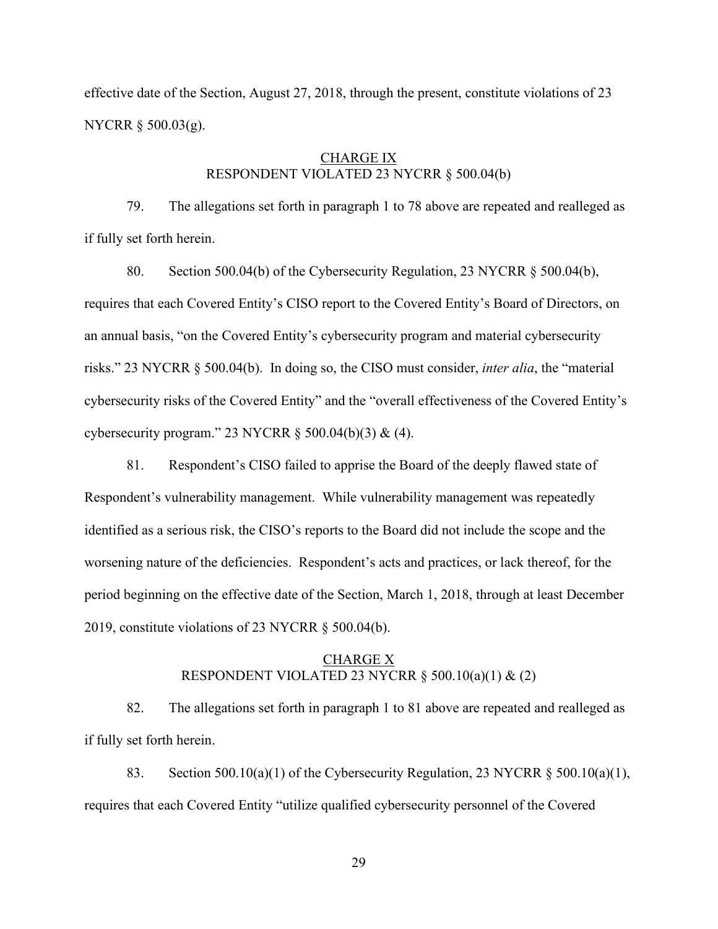effective date of the Section, August 27, 2018, through the present, constitute violations of 23 NYCRR § 500.03(g).

### CHARGE IX RESPONDENT VIOLATED 23 NYCRR § 500.04(b)

79. The allegations set forth in paragraph 1 to 78 above are repeated and realleged as if fully set forth herein.

80. Section 500.04(b) of the Cybersecurity Regulation, 23 NYCRR § 500.04(b), requires that each Covered Entity's CISO report to the Covered Entity's Board of Directors, on an annual basis, "on the Covered Entity's cybersecurity program and material cybersecurity risks." 23 NYCRR § 500.04(b). In doing so, the CISO must consider, *inter alia*, the "material cybersecurity risks of the Covered Entity" and the "overall effectiveness of the Covered Entity's cybersecurity program." 23 NYCRR § 500.04(b)(3) & (4).

81. Respondent's CISO failed to apprise the Board of the deeply flawed state of Respondent's vulnerability management. While vulnerability management was repeatedly identified as a serious risk, the CISO's reports to the Board did not include the scope and the worsening nature of the deficiencies. Respondent's acts and practices, or lack thereof, for the period beginning on the effective date of the Section, March 1, 2018, through at least December 2019, constitute violations of 23 NYCRR § 500.04(b).

#### CHARGE X RESPONDENT VIOLATED 23 NYCRR  $\S$  500.10(a)(1) & (2)

82. The allegations set forth in paragraph 1 to 81 above are repeated and realleged as if fully set forth herein.

83. Section 500.10(a)(1) of the Cybersecurity Regulation, 23 NYCRR  $\S$  500.10(a)(1), requires that each Covered Entity "utilize qualified cybersecurity personnel of the Covered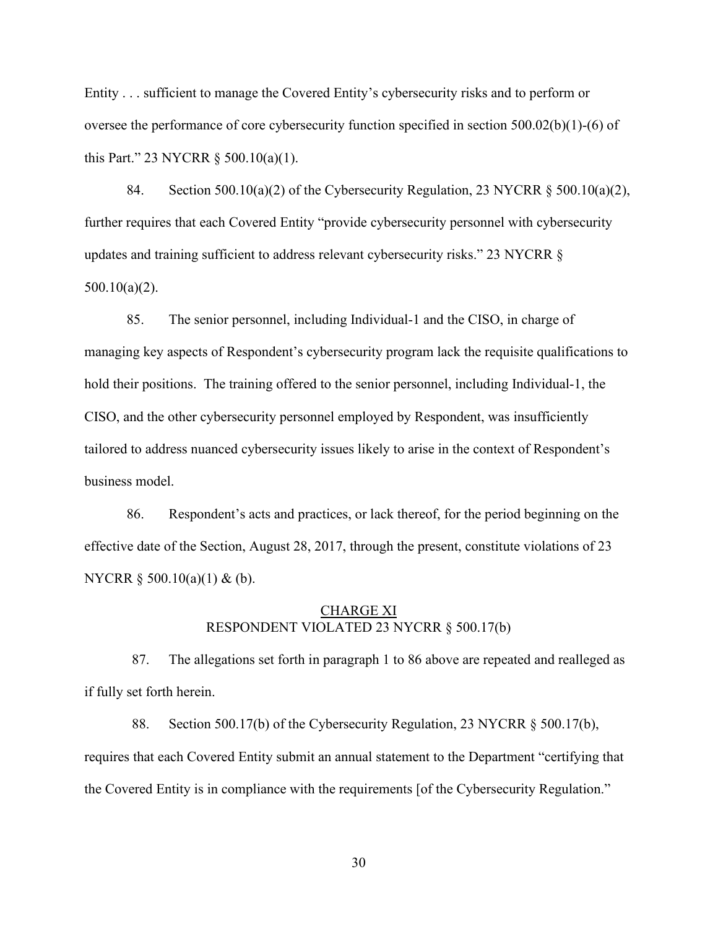Entity . . . sufficient to manage the Covered Entity's cybersecurity risks and to perform or oversee the performance of core cybersecurity function specified in section 500.02(b)(1)-(6) of this Part." 23 NYCRR § 500.10(a)(1).

84. Section 500.10(a)(2) of the Cybersecurity Regulation, 23 NYCRR  $\S$  500.10(a)(2), further requires that each Covered Entity "provide cybersecurity personnel with cybersecurity updates and training sufficient to address relevant cybersecurity risks." 23 NYCRR § 500.10(a)(2).

85. The senior personnel, including Individual-1 and the CISO, in charge of managing key aspects of Respondent's cybersecurity program lack the requisite qualifications to hold their positions. The training offered to the senior personnel, including Individual-1, the CISO, and the other cybersecurity personnel employed by Respondent, was insufficiently tailored to address nuanced cybersecurity issues likely to arise in the context of Respondent's business model.

86. Respondent's acts and practices, or lack thereof, for the period beginning on the effective date of the Section, August 28, 2017, through the present, constitute violations of 23 NYCRR § 500.10(a)(1) & (b).

#### CHARGE XI RESPONDENT VIOLATED 23 NYCRR § 500.17(b)

87. The allegations set forth in paragraph 1 to 86 above are repeated and realleged as if fully set forth herein.

88. Section 500.17(b) of the Cybersecurity Regulation, 23 NYCRR § 500.17(b), requires that each Covered Entity submit an annual statement to the Department "certifying that the Covered Entity is in compliance with the requirements [of the Cybersecurity Regulation."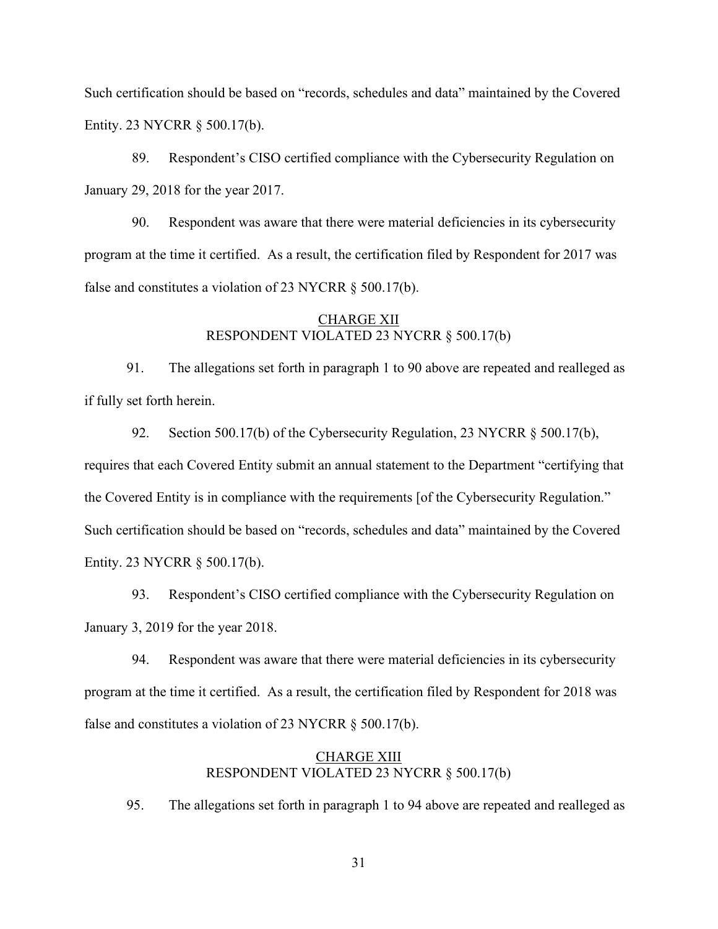Such certification should be based on "records, schedules and data" maintained by the Covered Entity. 23 NYCRR § 500.17(b).

89. Respondent's CISO certified compliance with the Cybersecurity Regulation on January 29, 2018 for the year 2017.

90. Respondent was aware that there were material deficiencies in its cybersecurity program at the time it certified. As a result, the certification filed by Respondent for 2017 was false and constitutes a violation of 23 NYCRR § 500.17(b).

### CHARGE XII RESPONDENT VIOLATED 23 NYCRR § 500.17(b)

91. The allegations set forth in paragraph 1 to 90 above are repeated and realleged as if fully set forth herein.

92. Section 500.17(b) of the Cybersecurity Regulation, 23 NYCRR § 500.17(b), requires that each Covered Entity submit an annual statement to the Department "certifying that the Covered Entity is in compliance with the requirements [of the Cybersecurity Regulation." Such certification should be based on "records, schedules and data" maintained by the Covered Entity. 23 NYCRR § 500.17(b).

93. Respondent's CISO certified compliance with the Cybersecurity Regulation on January 3, 2019 for the year 2018.

94. Respondent was aware that there were material deficiencies in its cybersecurity program at the time it certified. As a result, the certification filed by Respondent for 2018 was false and constitutes a violation of 23 NYCRR § 500.17(b).

### CHARGE XIII RESPONDENT VIOLATED 23 NYCRR § 500.17(b)

95. The allegations set forth in paragraph 1 to 94 above are repeated and realleged as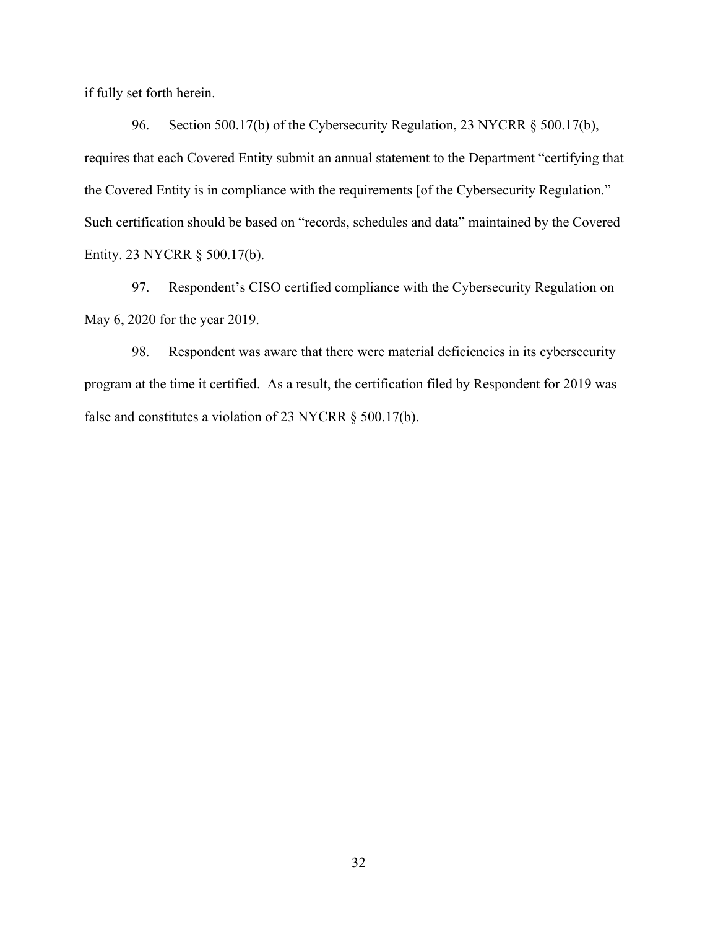if fully set forth herein.

96. Section 500.17(b) of the Cybersecurity Regulation, 23 NYCRR § 500.17(b), requires that each Covered Entity submit an annual statement to the Department "certifying that the Covered Entity is in compliance with the requirements [of the Cybersecurity Regulation." Such certification should be based on "records, schedules and data" maintained by the Covered Entity. 23 NYCRR § 500.17(b).

97. Respondent's CISO certified compliance with the Cybersecurity Regulation on May 6, 2020 for the year 2019.

98. Respondent was aware that there were material deficiencies in its cybersecurity program at the time it certified. As a result, the certification filed by Respondent for 2019 was false and constitutes a violation of 23 NYCRR § 500.17(b).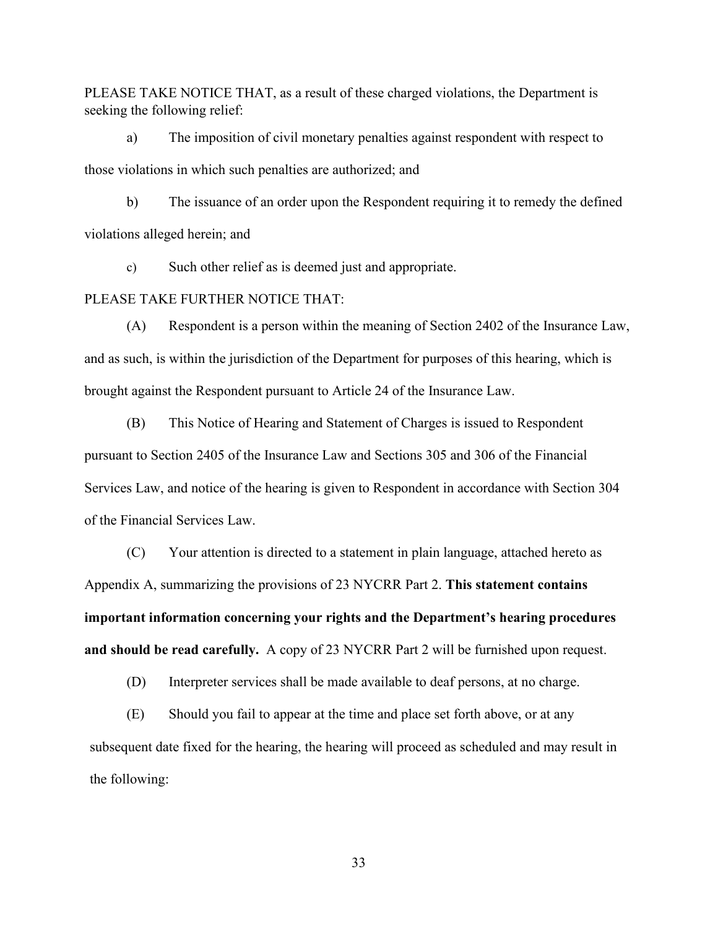PLEASE TAKE NOTICE THAT, as a result of these charged violations, the Department is seeking the following relief:

a) The imposition of civil monetary penalties against respondent with respect to those violations in which such penalties are authorized; and

b) The issuance of an order upon the Respondent requiring it to remedy the defined violations alleged herein; and

c) Such other relief as is deemed just and appropriate.

### PLEASE TAKE FURTHER NOTICE THAT:

(A) Respondent is a person within the meaning of Section 2402 of the Insurance Law, and as such, is within the jurisdiction of the Department for purposes of this hearing, which is brought against the Respondent pursuant to Article 24 of the Insurance Law.

(B) This Notice of Hearing and Statement of Charges is issued to Respondent pursuant to Section 2405 of the Insurance Law and Sections 305 and 306 of the Financial Services Law, and notice of the hearing is given to Respondent in accordance with Section 304 of the Financial Services Law.

(C) Your attention is directed to a statement in plain language, attached hereto as Appendix A, summarizing the provisions of 23 NYCRR Part 2. **This statement contains important information concerning your rights and the Department's hearing procedures and should be read carefully.** A copy of 23 NYCRR Part 2 will be furnished upon request.

(D) Interpreter services shall be made available to deaf persons, at no charge.

(E) Should you fail to appear at the time and place set forth above, or at any subsequent date fixed for the hearing, the hearing will proceed as scheduled and may result in the following: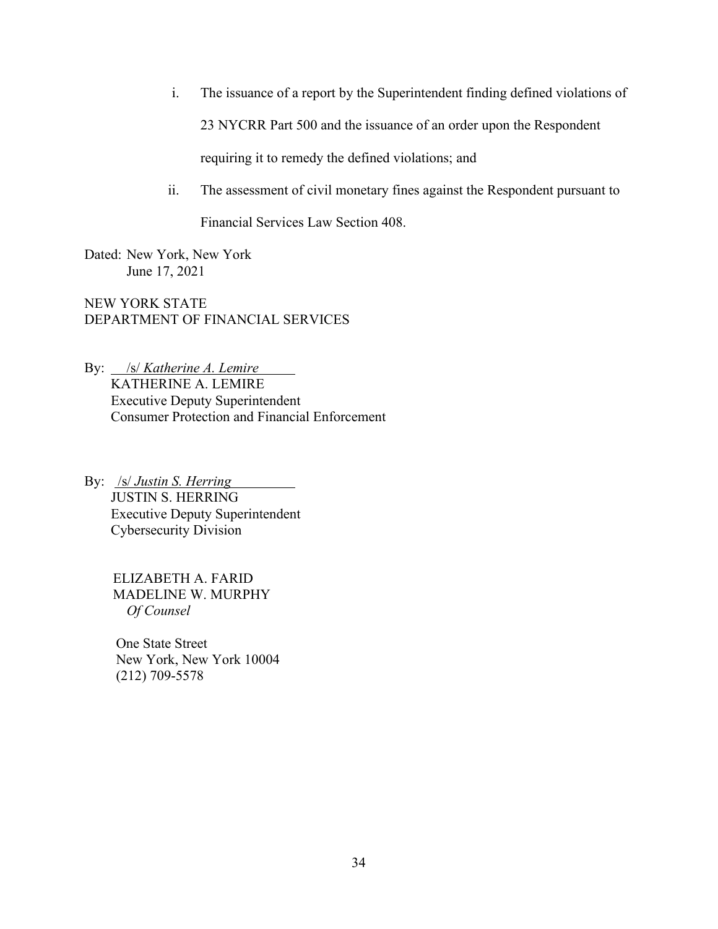- i. The issuance of a report by the Superintendent finding defined violations of 23 NYCRR Part 500 and the issuance of an order upon the Respondent requiring it to remedy the defined violations; and
- ii. The assessment of civil monetary fines against the Respondent pursuant to

Financial Services Law Section 408.

Dated: New York, New York June 17, 2021

NEW YORK STATE DEPARTMENT OF FINANCIAL SERVICES

By: /s/ *Katherine A. Lemire* KATHERINE A. LEMIRE Executive Deputy Superintendent Consumer Protection and Financial Enforcement

By: /s/ *Justin S. Herring* JUSTIN S. HERRING Executive Deputy Superintendent Cybersecurity Division

> ELIZABETH A. FARID MADELINE W. MURPHY  *Of Counsel*

One State Street New York, New York 10004 (212) 709-5578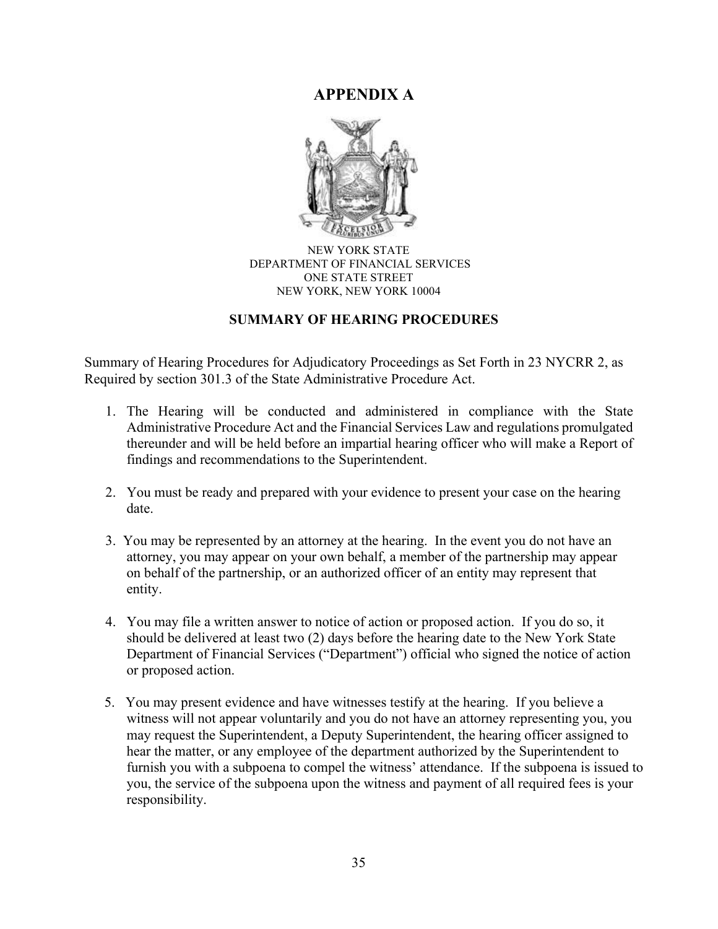# **APPENDIX A**



#### NEW YORK STATE DEPARTMENT OF FINANCIAL SERVICES ONE STATE STREET NEW YORK, NEW YORK 10004

## **SUMMARY OF HEARING PROCEDURES**

Summary of Hearing Procedures for Adjudicatory Proceedings as Set Forth in 23 NYCRR 2, as Required by section 301.3 of the State Administrative Procedure Act.

- 1. The Hearing will be conducted and administered in compliance with the State Administrative Procedure Act and the Financial Services Law and regulations promulgated thereunder and will be held before an impartial hearing officer who will make a Report of findings and recommendations to the Superintendent.
- 2. You must be ready and prepared with your evidence to present your case on the hearing date.
- 3. You may be represented by an attorney at the hearing. In the event you do not have an attorney, you may appear on your own behalf, a member of the partnership may appear on behalf of the partnership, or an authorized officer of an entity may represent that entity.
- 4. You may file a written answer to notice of action or proposed action. If you do so, it should be delivered at least two (2) days before the hearing date to the New York State Department of Financial Services ("Department") official who signed the notice of action or proposed action.
- 5. You may present evidence and have witnesses testify at the hearing. If you believe a witness will not appear voluntarily and you do not have an attorney representing you, you may request the Superintendent, a Deputy Superintendent, the hearing officer assigned to hear the matter, or any employee of the department authorized by the Superintendent to furnish you with a subpoena to compel the witness' attendance. If the subpoena is issued to you, the service of the subpoena upon the witness and payment of all required fees is your responsibility.